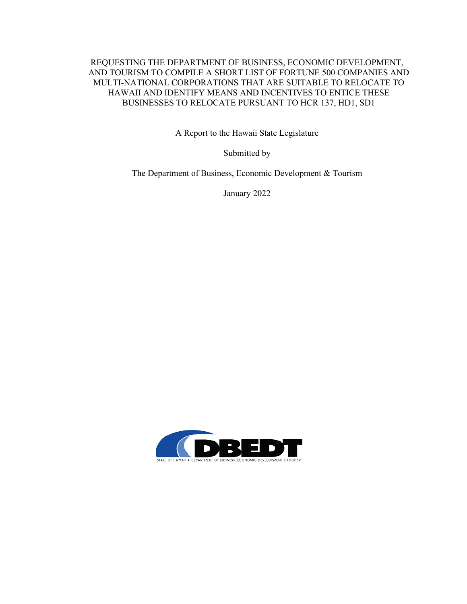#### REQUESTING THE DEPARTMENT OF BUSINESS, ECONOMIC DEVELOPMENT, AND TOURISM TO COMPILE A SHORT LIST OF FORTUNE 500 COMPANIES AND MULTI-NATIONAL CORPORATIONS THAT ARE SUITABLE TO RELOCATE TO HAWAII AND IDENTIFY MEANS AND INCENTIVES TO ENTICE THESE BUSINESSES TO RELOCATE PURSUANT TO HCR 137, HD1, SD1

A Report to the Hawaii State Legislature

Submitted by

The Department of Business, Economic Development & Tourism

January 2022

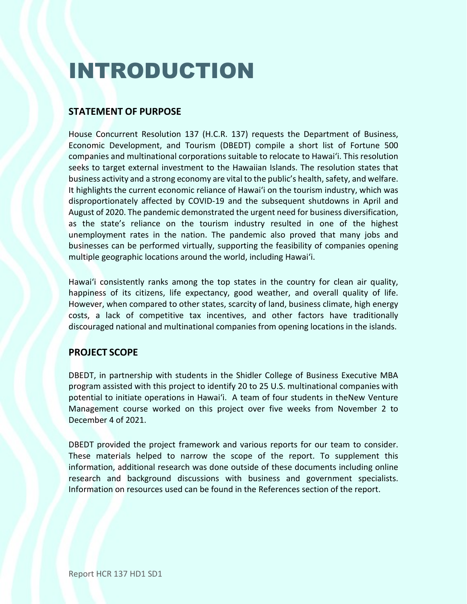# INTRODUCTION

# **STATEMENT OF PURPOSE**

House Concurrent Resolution 137 (H.C.R. 137) requests the Department of Business, Economic Development, and Tourism (DBEDT) compile a short list of Fortune 500 companies and multinational corporations suitable to relocate to Hawaiʻi. This resolution seeks to target external investment to the Hawaiian Islands. The resolution states that business activity and a strong economy are vital to the public's health, safety, and welfare. It highlights the current economic reliance of Hawaiʻi on the tourism industry, which was disproportionately affected by COVID-19 and the subsequent shutdowns in April and August of 2020. The pandemic demonstrated the urgent need for business diversification, as the state's reliance on the tourism industry resulted in one of the highest unemployment rates in the nation. The pandemic also proved that many jobs and businesses can be performed virtually, supporting the feasibility of companies opening multiple geographic locations around the world, including Hawaiʻi.

Hawaiʻi consistently ranks among the top states in the country for clean air quality, happiness of its citizens, life expectancy, good weather, and overall quality of life. However, when compared to other states, scarcity of land, business climate, high energy costs, a lack of competitive tax incentives, and other factors have traditionally discouraged national and multinational companies from opening locations in the islands.

# **PROJECT SCOPE**

DBEDT, in partnership with students in the Shidler College of Business Executive MBA program assisted with this project to identify 20 to 25 U.S. multinational companies with potential to initiate operations in Hawaiʻi. A team of four students in theNew Venture Management course worked on this project over five weeks from November 2 to December 4 of 2021.

DBEDT provided the project framework and various reports for our team to consider. These materials helped to narrow the scope of the report. To supplement this information, additional research was done outside of these documents including online research and background discussions with business and government specialists. Information on resources used can be found in the References section of the report.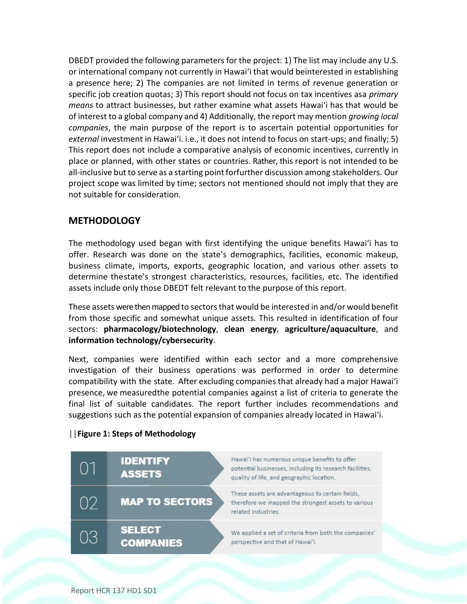DBEDT provided the following parameters for the project: 1) The list may include any U.S. or international company not currently in Hawaiʻi that would beinterested in establishing a presence here; 2) The companies are not limited in terms of revenue generation or specific job creation quotas; 3) This report should not focus on tax incentives asa *primary means* to attract businesses, but rather examine what assets Hawaiʻi has that would be of interest to a global company and 4) Additionally, the report may mention *growing local companies*, the main purpose of the report is to ascertain potential opportunities for *external* investment in Hawaiʻi. i.e., it does not intend to focus on start-ups; and finally; 5) This report does not include a comparative analysis of economic incentives, currently in place or planned, with other states or countries. Rather, this report is not intended to be all-inclusive but to serve as a starting point forfurther discussion among stakeholders. Our project scope was limited by time; sectors not mentioned should not imply that they are not suitable for consideration.

## **METHODOLOGY**

The methodology used began with first identifying the unique benefits Hawaiʻi has to offer. Research was done on the state's demographics, facilities, economic makeup, business climate, imports, exports, geographic location, and various other assets to determine thestate's strongest characteristics, resources, facilities, etc. The identified assets include only those DBEDT felt relevant to the purpose of this report.

These assets were then mapped to sectorsthat would be interested in and/or would benefit from those specific and somewhat unique assets. This resulted in identification of four sectors: **pharmacology/biotechnology**, **clean energy**, **agriculture/aquaculture**, and **information technology/cybersecurity**.

Next, companies were identified within each sector and a more comprehensive investigation of their business operations was performed in order to determine compatibility with the state. After excluding companies that already had a major Hawaiʻi presence, we measuredthe potential companies against a list of criteria to generate the final list of suitable candidates. The report further includes recommendations and suggestions such as the potential expansion of companies already located in Hawaiʻi.



#### **||Figure 1: Steps of Methodology**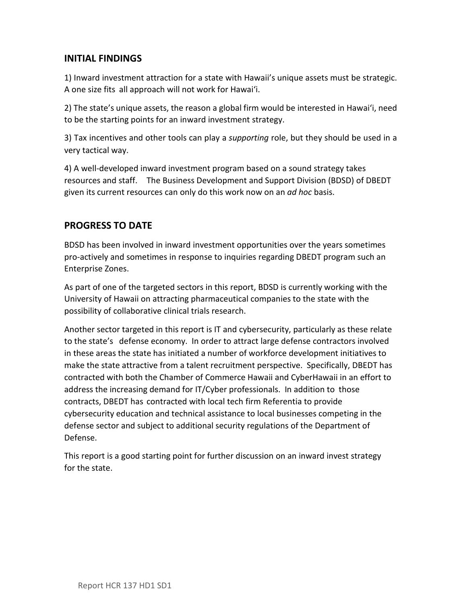## **INITIAL FINDINGS**

1) Inward investment attraction for a state with Hawaii's unique assets must be strategic. A one size fits all approach will not work for Hawaiʻi.

2) The state's unique assets, the reason a global firm would be interested in Hawaiʻi, need to be the starting points for an inward investment strategy.

3) Tax incentives and other tools can play a *supporting* role, but they should be used in a very tactical way.

4) A well-developed inward investment program based on a sound strategy takes resources and staff. The Business Development and Support Division (BDSD) of DBEDT given its current resources can only do this work now on an *ad hoc* basis.

# **PROGRESS TO DATE**

BDSD has been involved in inward investment opportunities over the years sometimes pro-actively and sometimes in response to inquiries regarding DBEDT program such an Enterprise Zones.

As part of one of the targeted sectors in this report, BDSD is currently working with the University of Hawaii on attracting pharmaceutical companies to the state with the possibility of collaborative clinical trials research.

Another sector targeted in this report is IT and cybersecurity, particularly as these relate to the state's defense economy. In order to attract large defense contractors involved in these areas the state has initiated a number of workforce development initiatives to make the state attractive from a talent recruitment perspective. Specifically, DBEDT has contracted with both the Chamber of Commerce Hawaii and CyberHawaii in an effort to address the increasing demand for IT/Cyber professionals. In addition to those contracts, DBEDT has contracted with local tech firm Referentia to provide cybersecurity education and technical assistance to local businesses competing in the defense sector and subject to additional security regulations of the Department of Defense.

This report is a good starting point for further discussion on an inward invest strategy for the state.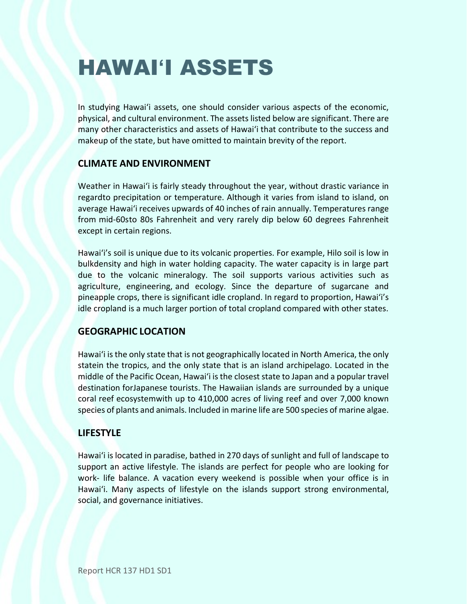# HAWAI**ʻ**I ASSETS

In studying Hawaiʻi assets, one should consider various aspects of the economic, physical, and cultural environment. The assets listed below are significant. There are many other characteristics and assets of Hawaiʻi that contribute to the success and makeup of the state, but have omitted to maintain brevity of the report.

# **CLIMATE AND ENVIRONMENT**

Weather in Hawaiʻi is fairly steady throughout the year, without drastic variance in regardto precipitation or temperature. Although it varies from island to island, on average Hawaiʻi receives upwards of 40 inches of rain annually. Temperatures range from mid-60sto 80s Fahrenheit and very rarely dip below 60 degrees Fahrenheit except in certain regions.

Hawaiʻi's soil is unique due to its volcanic properties. For example, Hilo soil is low in bulkdensity and high in water holding capacity. The water capacity is in large part due to the volcanic mineralogy. The soil supports various activities such as agriculture, engineering, and ecology. Since the departure of sugarcane and pineapple crops, there is significant idle cropland. In regard to proportion, Hawaiʻi's idle cropland is a much larger portion of total cropland compared with other states.

## **GEOGRAPHIC LOCATION**

Hawaiʻi is the only state that is not geographically located in North America, the only statein the tropics, and the only state that is an island archipelago. Located in the middle of the Pacific Ocean, Hawai'i is the closest state to Japan and a popular travel destination forJapanese tourists. The Hawaiian islands are surrounded by a unique coral reef ecosystemwith up to 410,000 acres of living reef and over 7,000 known species of plants and animals. Included in marine life are 500 species of marine algae.

## **LIFESTYLE**

Hawaiʻi is located in paradise, bathed in 270 days of sunlight and full of landscape to support an active lifestyle. The islands are perfect for people who are looking for work- life balance. A vacation every weekend is possible when your office is in Hawaiʻi. Many aspects of lifestyle on the islands support strong environmental, social, and governance initiatives.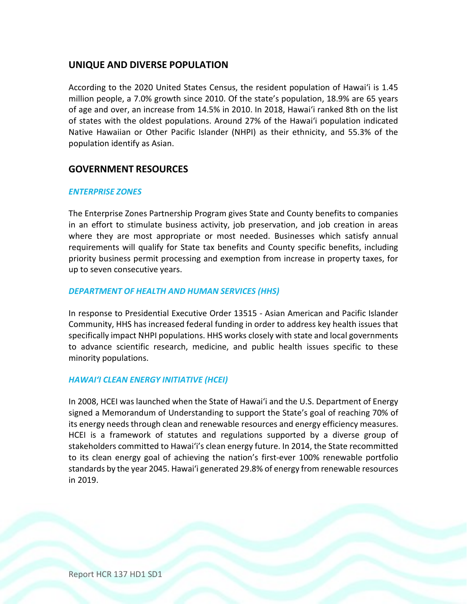## **UNIQUE AND DIVERSE POPULATION**

According to the 2020 United States Census, the resident population of Hawaiʻi is 1.45 million people, a 7.0% growth since 2010. Of the state's population, 18.9% are 65 years of age and over, an increase from 14.5% in 2010. In 2018, Hawaiʻi ranked 8th on the list of states with the oldest populations. Around 27% of the Hawaiʻi population indicated Native Hawaiian or Other Pacific Islander (NHPI) as their ethnicity, and 55.3% of the population identify as Asian.

## **GOVERNMENT RESOURCES**

#### *ENTERPRISE ZONES*

The Enterprise Zones Partnership Program gives State and County benefits to companies in an effort to stimulate business activity, job preservation, and job creation in areas where they are most appropriate or most needed. Businesses which satisfy annual requirements will qualify for State tax benefits and County specific benefits, including priority business permit processing and exemption from increase in property taxes, for up to seven consecutive years.

#### *DEPARTMENT OF HEALTH AND HUMAN SERVICES (HHS)*

In response to Presidential Executive Order 13515 - Asian American and Pacific Islander Community, HHS has increased federal funding in order to address key health issues that specifically impact NHPI populations. HHS works closely with state and local governments to advance scientific research, medicine, and public health issues specific to these minority populations.

#### *HAWAIʻI CLEAN ENERGY INITIATIVE (HCEI)*

In 2008, HCEI was launched when the State of Hawaiʻi and the U.S. Department of Energy signed a Memorandum of Understanding to support the State's goal of reaching 70% of its energy needs through clean and renewable resources and energy efficiency measures. HCEI is a framework of statutes and regulations supported by a diverse group of stakeholders committed to Hawaiʻi's clean energy future. In 2014, the State recommitted to its clean energy goal of achieving the nation's first-ever 100% renewable portfolio standards by the year 2045. Hawaiʻi generated 29.8% of energy from renewable resources in 2019.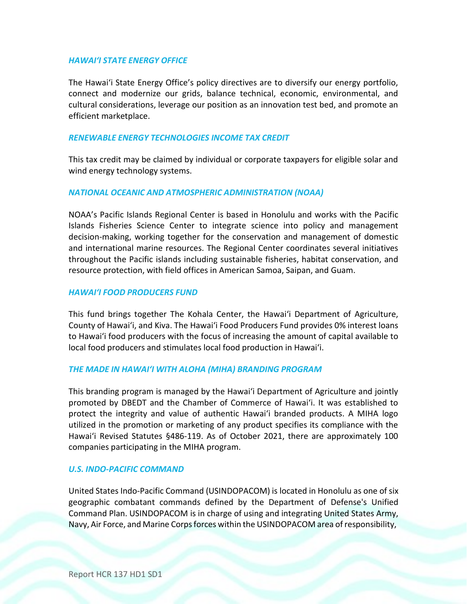#### *HAWAIʻI STATE ENERGY OFFICE*

The Hawaiʻi State Energy Office's policy directives are to diversify our energy portfolio, connect and modernize our grids, balance technical, economic, environmental, and cultural considerations, leverage our position as an innovation test bed, and promote an efficient marketplace.

#### *RENEWABLE ENERGY TECHNOLOGIES INCOME TAX CREDIT*

This tax credit may be claimed by individual or corporate taxpayers for eligible solar and wind energy technology systems.

#### *NATIONAL OCEANIC AND ATMOSPHERIC ADMINISTRATION (NOAA)*

NOAA's Pacific Islands Regional Center is based in Honolulu and works with the Pacific Islands Fisheries Science Center to integrate science into policy and management decision-making, working together for the conservation and management of domestic and international marine resources. The Regional Center coordinates several initiatives throughout the Pacific islands including sustainable fisheries, habitat conservation, and resource protection, with field offices in American Samoa, Saipan, and Guam.

#### *HAWAIʻI FOOD PRODUCERS FUND*

This fund brings together The Kohala Center, the Hawaiʻi Department of Agriculture, County of Hawaiʻi, and Kiva. The Hawaiʻi Food Producers Fund provides 0% interest loans to Hawaiʻi food producers with the focus of increasing the amount of capital available to local food producers and stimulates local food production in Hawaiʻi.

#### *THE MADE IN HAWAIʻI WITH ALOHA (MIHA) BRANDING PROGRAM*

This branding program is managed by the Hawaiʻi Department of Agriculture and jointly promoted by DBEDT and the Chamber of Commerce of Hawaiʻi. It was established to protect the integrity and value of authentic Hawaiʻi branded products. A MIHA logo utilized in the promotion or marketing of any product specifies its compliance with the Hawaiʻi Revised Statutes §486-119. As of October 2021, there are approximately 100 companies participating in the MIHA program.

#### *U.S. INDO-PACIFIC COMMAND*

United States Indo-Pacific Command (USINDOPACOM) is located in Honolulu as one of six geographic combatant commands defined by the Department of Defense's Unified Command Plan. USINDOPACOM is in charge of using and integrating United States Army, Navy, Air Force, and Marine Corpsforces within the USINDOPACOM area of responsibility,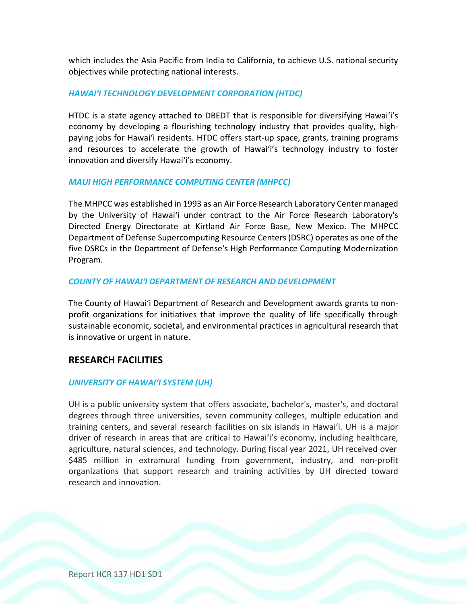which includes the Asia Pacific from India to California, to achieve U.S. national security objectives while protecting national interests.

#### *HAWAIʻI TECHNOLOGY DEVELOPMENT CORPORATION (HTDC)*

HTDC is a state agency attached to DBEDT that is responsible for diversifying Hawaiʻi's economy by developing a flourishing technology industry that provides quality, highpaying jobs for Hawaiʻi residents. HTDC offers start-up space, grants, training programs and resources to accelerate the growth of Hawaiʻi's technology industry to foster innovation and diversify Hawaiʻi's economy.

#### *MAUI HIGH PERFORMANCE COMPUTING CENTER (MHPCC)*

The MHPCC was established in 1993 as an Air Force Research Laboratory Center managed by the University of Hawaiʻi under contract to the Air Force Research Laboratory's Directed Energy Directorate at Kirtland Air Force Base, New Mexico. The MHPCC Department of Defense Supercomputing Resource Centers (DSRC) operates as one of the five DSRCs in the Department of Defense's High Performance Computing Modernization Program.

#### *COUNTY OF HAWAIʻI DEPARTMENT OF RESEARCH AND DEVELOPMENT*

The County of Hawaiʻi Department of Research and Development awards grants to nonprofit organizations for initiatives that improve the quality of life specifically through sustainable economic, societal, and environmental practices in agricultural research that is innovative or urgent in nature.

## **RESEARCH FACILITIES**

#### *UNIVERSITY OF HAWAIʻI SYSTEM (UH)*

UH is a public university system that offers associate, bachelor's, master's, and doctoral degrees through three universities, seven community colleges, multiple education and training centers, and several research facilities on six islands in Hawaiʻi. UH is a major driver of research in areas that are critical to Hawaiʻi's economy, including healthcare, agriculture, natural sciences, and technology. During fiscal year 2021, UH received over \$485 million in extramural funding from government, industry, and non-profit organizations that support research and training activities by UH directed toward research and innovation.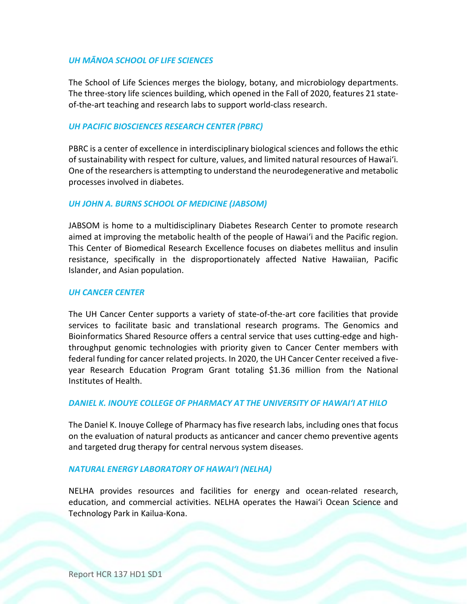### *UH MĀNOA SCHOOL OF LIFE SCIENCES*

The School of Life Sciences merges the biology, botany, and microbiology departments. The three-story life sciences building, which opened in the Fall of 2020, features 21 stateof-the-art teaching and research labs to support world-class research.

#### *UH PACIFIC BIOSCIENCES RESEARCH CENTER (PBRC)*

PBRC is a center of excellence in interdisciplinary biological sciences and follows the ethic of sustainability with respect for culture, values, and limited natural resources of Hawaiʻi. One of the researchers is attempting to understand the neurodegenerative and metabolic processes involved in diabetes.

#### *UH JOHN A. BURNS SCHOOL OF MEDICINE (JABSOM)*

JABSOM is home to a multidisciplinary Diabetes Research Center to promote research aimed at improving the metabolic health of the people of Hawaiʻi and the Pacific region. This Center of Biomedical Research Excellence focuses on diabetes mellitus and insulin resistance, specifically in the disproportionately affected Native Hawaiian, Pacific Islander, and Asian population.

#### *UH CANCER CENTER*

The UH Cancer Center supports a variety of state-of-the-art core facilities that provide services to facilitate basic and translational research programs. The Genomics and Bioinformatics Shared Resource offers a central service that uses cutting-edge and highthroughput genomic technologies with priority given to Cancer Center members with federal funding for cancer related projects. In 2020, the UH Cancer Center received a fiveyear Research Education Program Grant totaling \$1.36 million from the National Institutes of Health.

#### *DANIEL K. INOUYE COLLEGE OF PHARMACY AT THE UNIVERSITY OF HAWAIʻI AT HILO*

The Daniel K. Inouye College of Pharmacy hasfive research labs, including ones that focus on the evaluation of natural products as anticancer and cancer chemo preventive agents and targeted drug therapy for central nervous system diseases.

#### *NATURAL ENERGY LABORATORY OF HAWAIʻI (NELHA)*

NELHA provides resources and facilities for energy and ocean-related research, education, and commercial activities. NELHA operates the Hawaiʻi Ocean Science and Technology Park in Kailua-Kona.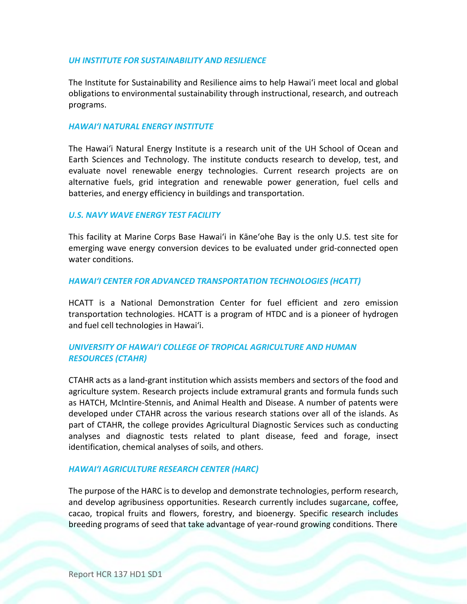#### *UH INSTITUTE FOR SUSTAINABILITY AND RESILIENCE*

The Institute for Sustainability and Resilience aims to help Hawaiʻi meet local and global obligations to environmental sustainability through instructional, research, and outreach programs.

#### *HAWAIʻI NATURAL ENERGY INSTITUTE*

The Hawaiʻi Natural Energy Institute is a research unit of the UH School of Ocean and Earth Sciences and Technology. The institute conducts research to develop, test, and evaluate novel renewable energy technologies. Current research projects are on alternative fuels, grid integration and renewable power generation, fuel cells and batteries, and energy efficiency in buildings and transportation.

#### *U.S. NAVY WAVE ENERGY TEST FACILITY*

This facility at Marine Corps Base Hawaiʻi in Kāneʻohe Bay is the only U.S. test site for emerging wave energy conversion devices to be evaluated under grid-connected open water conditions.

#### *HAWAIʻI CENTER FOR ADVANCED TRANSPORTATION TECHNOLOGIES (HCATT)*

HCATT is a National Demonstration Center for fuel efficient and zero emission transportation technologies. HCATT is a program of HTDC and is a pioneer of hydrogen and fuel cell technologies in Hawaiʻi.

### *UNIVERSITY OF HAWAIʻI COLLEGE OF TROPICAL AGRICULTURE AND HUMAN RESOURCES (CTAHR)*

CTAHR acts as a land-grant institution which assists members and sectors of the food and agriculture system. Research projects include extramural grants and formula funds such as HATCH, McIntire-Stennis, and Animal Health and Disease. A number of patents were developed under CTAHR across the various research stations over all of the islands. As part of CTAHR, the college provides Agricultural Diagnostic Services such as conducting analyses and diagnostic tests related to plant disease, feed and forage, insect identification, chemical analyses of soils, and others.

#### *HAWAIʻI AGRICULTURE RESEARCH CENTER (HARC)*

The purpose of the HARC is to develop and demonstrate technologies, perform research, and develop agribusiness opportunities. Research currently includes sugarcane, coffee, cacao, tropical fruits and flowers, forestry, and bioenergy. Specific research includes breeding programs of seed that take advantage of year-round growing conditions. There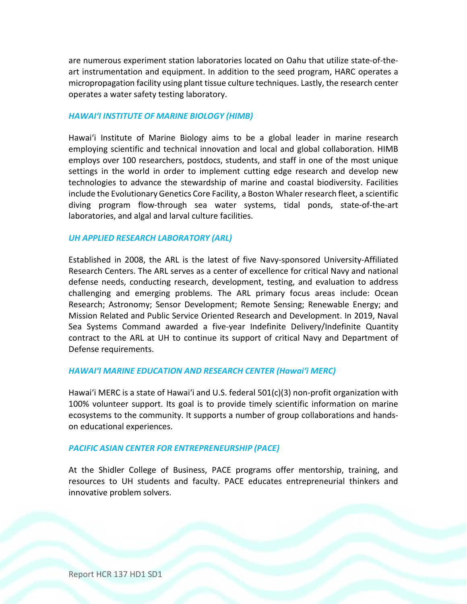are numerous experiment station laboratories located on Oahu that utilize state-of-theart instrumentation and equipment. In addition to the seed program, HARC operates a micropropagation facility using plant tissue culture techniques. Lastly, the research center operates a water safety testing laboratory.

#### *HAWAIʻI INSTITUTE OF MARINE BIOLOGY (HIMB)*

Hawaiʻi Institute of Marine Biology aims to be a global leader in marine research employing scientific and technical innovation and local and global collaboration. HIMB employs over 100 researchers, postdocs, students, and staff in one of the most unique settings in the world in order to implement cutting edge research and develop new technologies to advance the stewardship of marine and coastal biodiversity. Facilities include the Evolutionary Genetics Core Facility, a Boston Whaler research fleet, a scientific diving program flow-through sea water systems, tidal ponds, state-of-the-art laboratories, and algal and larval culture facilities.

#### *UH APPLIED RESEARCH LABORATORY (ARL)*

Established in 2008, the ARL is the latest of five Navy-sponsored University-Affiliated Research Centers. The ARL serves as a center of excellence for critical Navy and national defense needs, conducting research, development, testing, and evaluation to address challenging and emerging problems. The ARL primary focus areas include: Ocean Research; Astronomy; Sensor Development; Remote Sensing; Renewable Energy; and Mission Related and Public Service Oriented Research and Development. In 2019, Naval Sea Systems Command awarded a five-year Indefinite Delivery/Indefinite Quantity contract to the ARL at UH to continue its support of critical Navy and Department of Defense requirements.

#### *HAWAIʻI MARINE EDUCATION AND RESEARCH CENTER (Hawaiʻi MERC)*

Hawaiʻi MERC is a state of Hawaiʻi and U.S. federal 501(c)(3) non-profit organization with 100% volunteer support. Its goal is to provide timely scientific information on marine ecosystems to the community. It supports a number of group collaborations and handson educational experiences.

#### *PACIFIC ASIAN CENTER FOR ENTREPRENEURSHIP (PACE)*

At the Shidler College of Business, PACE programs offer mentorship, training, and resources to UH students and faculty. PACE educates entrepreneurial thinkers and innovative problem solvers.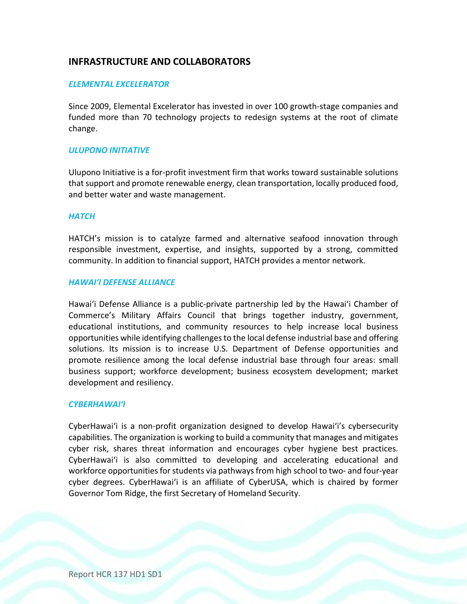# **INFRASTRUCTURE AND COLLABORATORS**

#### *ELEMENTAL EXCELERATOR*

Since 2009, Elemental Excelerator has invested in over 100 growth-stage companies and funded more than 70 technology projects to redesign systems at the root of climate change.

#### *ULUPONO INITIATIVE*

Ulupono Initiative is a for-profit investment firm that works toward sustainable solutions that support and promote renewable energy, clean transportation, locally produced food, and better water and waste management.

#### *HATCH*

HATCH's mission is to catalyze farmed and alternative seafood innovation through responsible investment, expertise, and insights, supported by a strong, committed community. In addition to financial support, HATCH provides a mentor network.

#### *HAWAIʻI DEFENSE ALLIANCE*

Hawaiʻi Defense Alliance is a public-private partnership led by the Hawaiʻi Chamber of Commerce's Military Affairs Council that brings together industry, government, educational institutions, and community resources to help increase local business opportunities while identifying challengesto the local defense industrial base and offering solutions. Its mission is to increase U.S. Department of Defense opportunities and promote resilience among the local defense industrial base through four areas: small business support; workforce development; business ecosystem development; market development and resiliency.

#### *CYBERHAWAIʻI*

CyberHawaiʻi is a non-profit organization designed to develop Hawaiʻi's cybersecurity capabilities. The organization is working to build a community that manages and mitigates cyber risk, shares threat information and encourages cyber hygiene best practices. CyberHawaiʻi is also committed to developing and accelerating educational and workforce opportunities for students via pathways from high school to two- and four-year cyber degrees. CyberHawaiʻi is an affiliate of CyberUSA, which is chaired by former Governor Tom Ridge, the first Secretary of Homeland Security.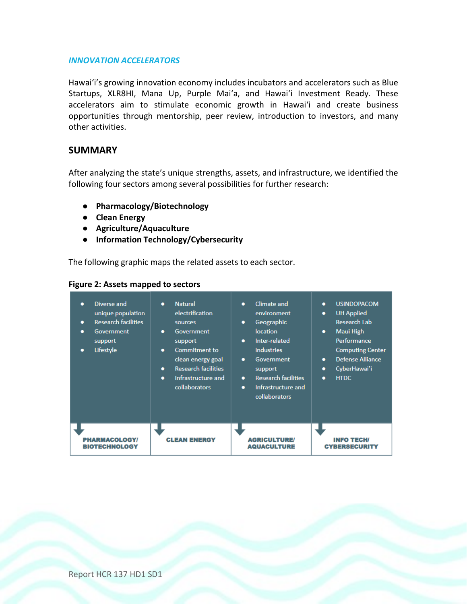#### *INNOVATION ACCELERATORS*

Hawaiʻi's growing innovation economy includes incubators and accelerators such as Blue Startups, XLR8HI, Mana Up, Purple Maiʻa, and Hawaiʻi Investment Ready. These accelerators aim to stimulate economic growth in Hawaiʻi and create business opportunities through mentorship, peer review, introduction to investors, and many other activities.

## **SUMMARY**

After analyzing the state's unique strengths, assets, and infrastructure, we identified the following four sectors among several possibilities for further research:

- **Pharmacology/Biotechnology**
- **Clean Energy**
- **Agriculture/Aquaculture**
- **Information Technology/Cybersecurity**

The following graphic maps the related assets to each sector.

#### **Figure 2: Assets mapped to sectors**

| Diverse and<br>$\bullet$<br>unique population<br><b>Research facilities</b><br>۰<br><b>Government</b><br>۰<br>support<br>Lifestyle<br>۰ | <b>Natural</b><br>$\bullet$<br>electrification<br>sources<br>Government<br>٠<br>support<br><b>Commitment to</b><br>$\bullet$<br>clean energy goal<br><b>Research facilities</b><br>۰<br>Infrastructure and<br>۰<br><b>collaborators</b> | Climate and<br>٠<br>environment<br>Geographic<br>۰<br>location<br>Inter-related<br>$\bullet$<br><b>industries</b><br><b>Government</b><br>٠<br>support<br><b>Research facilities</b><br>۰<br>Infrastructure and<br>٠<br>collaborators | <b>USINDOPACOM</b><br>$\bullet$<br><b>UH Applied</b><br>۰<br>Research Lab<br>Maui High<br>۰<br>Performance<br><b>Computing Center</b><br>Defense Alliance<br>$\bullet$<br>CyberHawai'i<br>٠<br><b>HTDC</b><br>$\bullet$ |
|-----------------------------------------------------------------------------------------------------------------------------------------|-----------------------------------------------------------------------------------------------------------------------------------------------------------------------------------------------------------------------------------------|---------------------------------------------------------------------------------------------------------------------------------------------------------------------------------------------------------------------------------------|-------------------------------------------------------------------------------------------------------------------------------------------------------------------------------------------------------------------------|
| <b>PHARMACOLOGY/</b>                                                                                                                    | <b>CLEAN ENERGY</b>                                                                                                                                                                                                                     | <b>AGRICULTURE/</b>                                                                                                                                                                                                                   | <b>INFO TECH/</b>                                                                                                                                                                                                       |
| <b>BIOTECHNOLOGY</b>                                                                                                                    |                                                                                                                                                                                                                                         | <b>AQUACULTURE</b>                                                                                                                                                                                                                    | <b>CYBERSECURITY</b>                                                                                                                                                                                                    |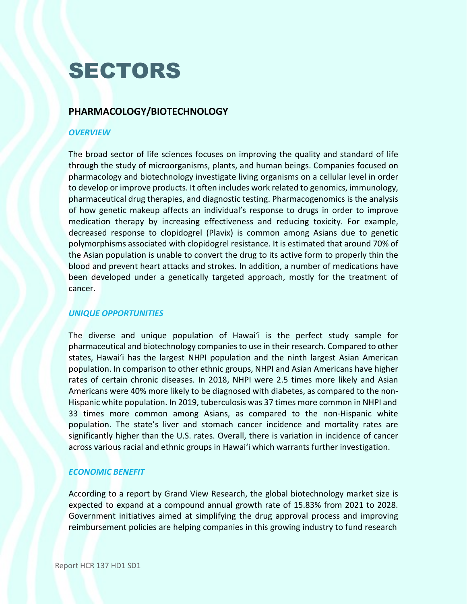# **SECTORS**

# **PHARMACOLOGY/BIOTECHNOLOGY**

### *OVERVIEW*

The broad sector of life sciences focuses on improving the quality and standard of life through the study of microorganisms, plants, and human beings. Companies focused on pharmacology and biotechnology investigate living organisms on a cellular level in order to develop or improve products. It often includes work related to genomics, immunology, pharmaceutical drug therapies, and diagnostic testing. Pharmacogenomics is the analysis of how genetic makeup affects an individual's response to drugs in order to improve medication therapy by increasing effectiveness and reducing toxicity. For example, decreased response to clopidogrel (Plavix) is common among Asians due to genetic polymorphisms associated with clopidogrel resistance. It is estimated that around 70% of the Asian population is unable to convert the drug to its active form to properly thin the blood and prevent heart attacks and strokes. In addition, a number of medications have been developed under a genetically targeted approach, mostly for the treatment of cancer.

#### *UNIQUE OPPORTUNITIES*

The diverse and unique population of Hawaiʻi is the perfect study sample for pharmaceutical and biotechnology companiesto use in their research. Compared to other states, Hawaiʻi has the largest NHPI population and the ninth largest Asian American population. In comparison to other ethnic groups, NHPI and Asian Americans have higher rates of certain chronic diseases. In 2018, NHPI were 2.5 times more likely and Asian Americans were 40% more likely to be diagnosed with diabetes, as compared to the non-Hispanic white population. In 2019, tuberculosis was 37 times more common in NHPI and 33 times more common among Asians, as compared to the non-Hispanic white population. The state's liver and stomach cancer incidence and mortality rates are significantly higher than the U.S. rates. Overall, there is variation in incidence of cancer across various racial and ethnic groups in Hawaiʻi which warrants further investigation.

## *ECONOMIC BENEFIT*

According to a report by Grand View Research, the global biotechnology market size is expected to expand at a compound annual growth rate of 15.83% from 2021 to 2028. Government initiatives aimed at simplifying the drug approval process and improving reimbursement policies are helping companies in this growing industry to fund research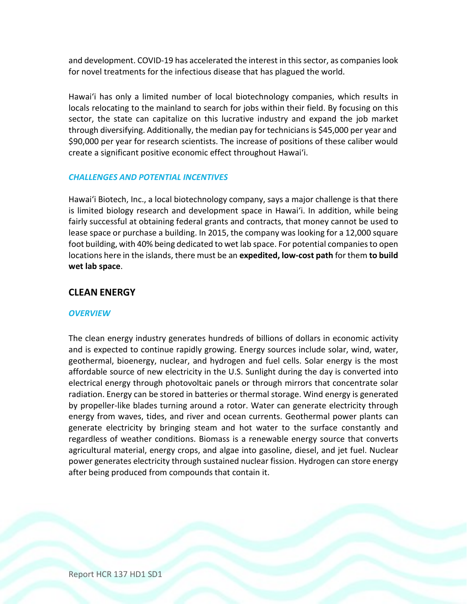and development. COVID-19 has accelerated the interest in thissector, as companieslook for novel treatments for the infectious disease that has plagued the world.

Hawaiʻi has only a limited number of local biotechnology companies, which results in locals relocating to the mainland to search for jobs within their field. By focusing on this sector, the state can capitalize on this lucrative industry and expand the job market through diversifying. Additionally, the median pay for techniciansis \$45,000 per year and \$90,000 per year for research scientists. The increase of positions of these caliber would create a significant positive economic effect throughout Hawaiʻi.

#### *CHALLENGES AND POTENTIAL INCENTIVES*

Hawaiʻi Biotech, Inc., a local biotechnology company, says a major challenge is that there is limited biology research and development space in Hawaiʻi. In addition, while being fairly successful at obtaining federal grants and contracts, that money cannot be used to lease space or purchase a building. In 2015, the company was looking for a 12,000 square foot building, with 40% being dedicated to wet lab space. For potential companies to open locations here in the islands, there must be an **expedited, low-cost path** for them **to build wet lab space**.

#### **CLEAN ENERGY**

#### *OVERVIEW*

The clean energy industry generates hundreds of billions of dollars in economic activity and is expected to continue rapidly growing. Energy sources include solar, wind, water, geothermal, bioenergy, nuclear, and hydrogen and fuel cells. Solar energy is the most affordable source of new electricity in the U.S. Sunlight during the day is converted into electrical energy through photovoltaic panels or through mirrors that concentrate solar radiation. Energy can be stored in batteries or thermal storage. Wind energy is generated by propeller-like blades turning around a rotor. Water can generate electricity through energy from waves, tides, and river and ocean currents. Geothermal power plants can generate electricity by bringing steam and hot water to the surface constantly and regardless of weather conditions. Biomass is a renewable energy source that converts agricultural material, energy crops, and algae into gasoline, diesel, and jet fuel. Nuclear power generates electricity through sustained nuclear fission. Hydrogen can store energy after being produced from compounds that contain it.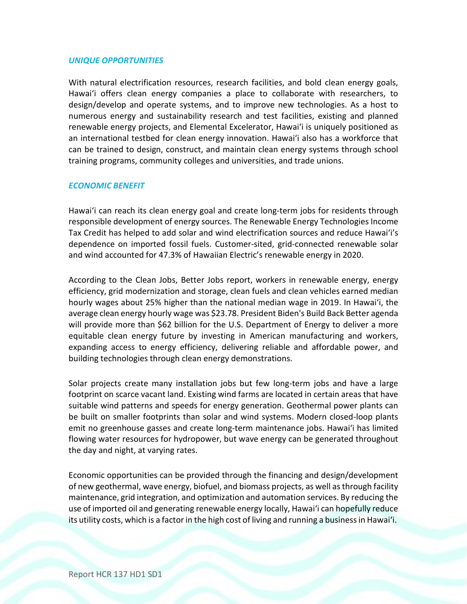#### *UNIQUE OPPORTUNITIES*

With natural electrification resources, research facilities, and bold clean energy goals, Hawaiʻi offers clean energy companies a place to collaborate with researchers, to design/develop and operate systems, and to improve new technologies. As a host to numerous energy and sustainability research and test facilities, existing and planned renewable energy projects, and Elemental Excelerator, Hawaiʻi is uniquely positioned as an international testbed for clean energy innovation. Hawaiʻi also has a workforce that can be trained to design, construct, and maintain clean energy systems through school training programs, community colleges and universities, and trade unions.

#### *ECONOMIC BENEFIT*

Hawaiʻi can reach its clean energy goal and create long-term jobs for residents through responsible development of energy sources. The Renewable Energy Technologies Income Tax Credit has helped to add solar and wind electrification sources and reduce Hawaiʻi's dependence on imported fossil fuels. Customer-sited, grid-connected renewable solar and wind accounted for 47.3% of Hawaiian Electric's renewable energy in 2020.

According to the Clean Jobs, Better Jobs report, workers in renewable energy, energy efficiency, grid modernization and storage, clean fuels and clean vehicles earned median hourly wages about 25% higher than the national median wage in 2019. In Hawaiʻi, the average clean energy hourly wage was \$23.78. President Biden's Build Back Better agenda will provide more than \$62 billion for the U.S. Department of Energy to deliver a more equitable clean energy future by investing in American manufacturing and workers, expanding access to energy efficiency, delivering reliable and affordable power, and building technologies through clean energy demonstrations.

Solar projects create many installation jobs but few long-term jobs and have a large footprint on scarce vacant land. Existing wind farms are located in certain areas that have suitable wind patterns and speeds for energy generation. Geothermal power plants can be built on smaller footprints than solar and wind systems. Modern closed-loop plants emit no greenhouse gasses and create long-term maintenance jobs. Hawaiʻi has limited flowing water resources for hydropower, but wave energy can be generated throughout the day and night, at varying rates.

Economic opportunities can be provided through the financing and design/development of new geothermal, wave energy, biofuel, and biomass projects, as well asthrough facility maintenance, grid integration, and optimization and automation services. By reducing the use of imported oil and generating renewable energy locally, Hawaiʻi can hopefully reduce its utility costs, which is a factor in the high cost of living and running a business in Hawai'i.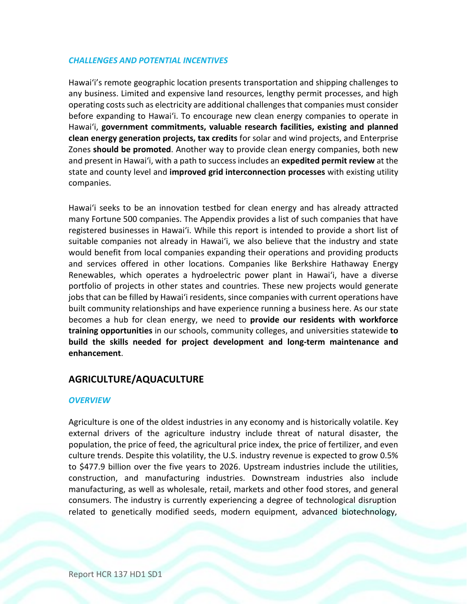### *CHALLENGES AND POTENTIAL INCENTIVES*

Hawaiʻi's remote geographic location presents transportation and shipping challenges to any business. Limited and expensive land resources, lengthy permit processes, and high operating costs such as electricity are additional challenges that companies must consider before expanding to Hawaiʻi. To encourage new clean energy companies to operate in Hawaiʻi, **government commitments, valuable research facilities, existing and planned clean energy generation projects, tax credits** for solar and wind projects, and Enterprise Zones **should be promoted**. Another way to provide clean energy companies, both new and present in Hawaiʻi, with a path to success includes an **expedited permit review** at the state and county level and **improved grid interconnection processes** with existing utility companies.

Hawaiʻi seeks to be an innovation testbed for clean energy and has already attracted many Fortune 500 companies. The Appendix provides a list of such companies that have registered businesses in Hawaiʻi. While this report is intended to provide a short list of suitable companies not already in Hawaiʻi, we also believe that the industry and state would benefit from local companies expanding their operations and providing products and services offered in other locations. Companies like Berkshire Hathaway Energy Renewables, which operates a hydroelectric power plant in Hawaiʻi, have a diverse portfolio of projects in other states and countries. These new projects would generate jobs that can be filled by Hawai'i residents, since companies with current operations have built community relationships and have experience running a business here. As our state becomes a hub for clean energy, we need to **provide our residents with workforce training opportunities** in our schools, community colleges, and universities statewide **to build the skills needed for project development and long-term maintenance and enhancement**.

## **AGRICULTURE/AQUACULTURE**

#### *OVERVIEW*

related to genetically modified seeds, modern equipment, advanced biotechnology, Agriculture is one of the oldest industries in any economy and is historically volatile. Key external drivers of the agriculture industry include threat of natural disaster, the population, the price of feed, the agricultural price index, the price of fertilizer, and even culture trends. Despite this volatility, the U.S. industry revenue is expected to grow 0.5% to \$477.9 billion over the five years to 2026. Upstream industries include the utilities, construction, and manufacturing industries. Downstream industries also include manufacturing, as well as wholesale, retail, markets and other food stores, and general consumers. The industry is currently experiencing a degree of technological disruption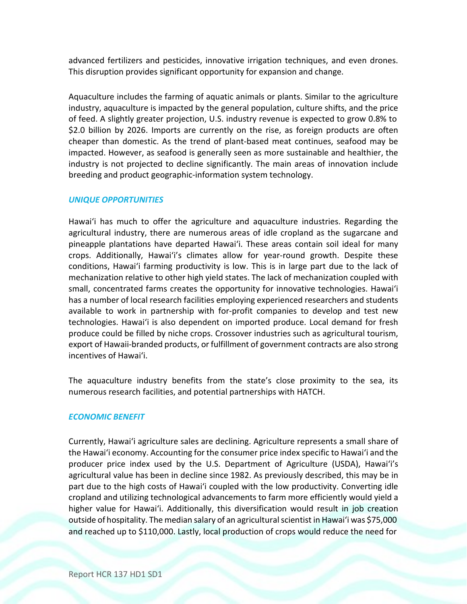advanced fertilizers and pesticides, innovative irrigation techniques, and even drones. This disruption provides significant opportunity for expansion and change.

Aquaculture includes the farming of aquatic animals or plants. Similar to the agriculture industry, aquaculture is impacted by the general population, culture shifts, and the price of feed. A slightly greater projection, U.S. industry revenue is expected to grow 0.8% to \$2.0 billion by 2026. Imports are currently on the rise, as foreign products are often cheaper than domestic. As the trend of plant-based meat continues, seafood may be impacted. However, as seafood is generally seen as more sustainable and healthier, the industry is not projected to decline significantly. The main areas of innovation include breeding and product geographic-information system technology.

#### *UNIQUE OPPORTUNITIES*

Hawaiʻi has much to offer the agriculture and aquaculture industries. Regarding the agricultural industry, there are numerous areas of idle cropland as the sugarcane and pineapple plantations have departed Hawaiʻi. These areas contain soil ideal for many crops. Additionally, Hawaiʻi's climates allow for year-round growth. Despite these conditions, Hawaiʻi farming productivity is low. This is in large part due to the lack of mechanization relative to other high yield states. The lack of mechanization coupled with small, concentrated farms creates the opportunity for innovative technologies. Hawaiʻi has a number of local research facilities employing experienced researchers and students available to work in partnership with for-profit companies to develop and test new technologies. Hawaiʻi is also dependent on imported produce. Local demand for fresh produce could be filled by niche crops. Crossover industries such as agricultural tourism, export of Hawaii-branded products, or fulfillment of government contracts are also strong incentives of Hawaiʻi.

The aquaculture industry benefits from the state's close proximity to the sea, its numerous research facilities, and potential partnerships with HATCH.

#### *ECONOMIC BENEFIT*

and reached up to \$110,000. Lastly, local production of crops would reduce the need for Currently, Hawaiʻi agriculture sales are declining. Agriculture represents a small share of the Hawaiʻi economy. Accounting for the consumer price index specific to Hawaiʻi and the producer price index used by the U.S. Department of Agriculture (USDA), Hawaiʻi's agricultural value has been in decline since 1982. As previously described, this may be in part due to the high costs of Hawaiʻi coupled with the low productivity. Converting idle cropland and utilizing technological advancements to farm more efficiently would yield a higher value for Hawaiʻi. Additionally, this diversification would result in job creation outside of hospitality. The median salary of an agricultural scientist in Hawai'i was \$75,000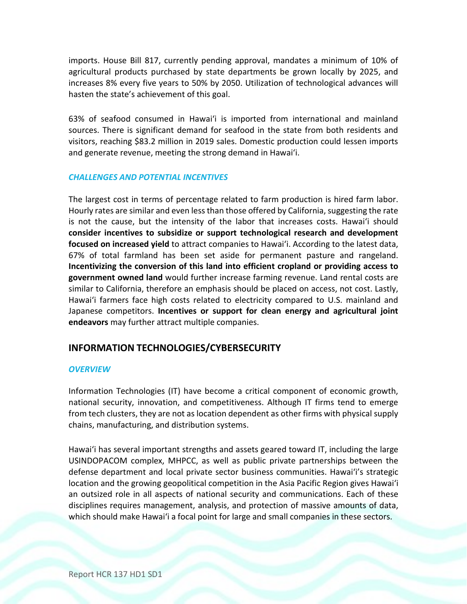imports. House Bill 817, currently pending approval, mandates a minimum of 10% of agricultural products purchased by state departments be grown locally by 2025, and increases 8% every five years to 50% by 2050. Utilization of technological advances will hasten the state's achievement of this goal.

63% of seafood consumed in Hawaiʻi is imported from international and mainland sources. There is significant demand for seafood in the state from both residents and visitors, reaching \$83.2 million in 2019 sales. Domestic production could lessen imports and generate revenue, meeting the strong demand in Hawaiʻi.

#### *CHALLENGES AND POTENTIAL INCENTIVES*

The largest cost in terms of percentage related to farm production is hired farm labor. Hourly rates are similar and even less than those offered by California, suggesting the rate is not the cause, but the intensity of the labor that increases costs. Hawaiʻi should **consider incentives to subsidize or support technological research and development focused on increased yield** to attract companies to Hawaiʻi. According to the latest data, 67% of total farmland has been set aside for permanent pasture and rangeland. **Incentivizing the conversion of this land into efficient cropland or providing access to government owned land** would further increase farming revenue. Land rental costs are similar to California, therefore an emphasis should be placed on access, not cost. Lastly, Hawaiʻi farmers face high costs related to electricity compared to U.S. mainland and Japanese competitors. **Incentives or support for clean energy and agricultural joint endeavors** may further attract multiple companies.

## **INFORMATION TECHNOLOGIES/CYBERSECURITY**

#### *OVERVIEW*

Information Technologies (IT) have become a critical component of economic growth, national security, innovation, and competitiveness. Although IT firms tend to emerge from tech clusters, they are not as location dependent as other firms with physical supply chains, manufacturing, and distribution systems.

Hawaiʻi has several important strengths and assets geared toward IT, including the large USINDOPACOM complex, MHPCC, as well as public private partnerships between the defense department and local private sector business communities. Hawaiʻi's strategic location and the growing geopolitical competition in the Asia Pacific Region gives Hawaiʻi an outsized role in all aspects of national security and communications. Each of these disciplines requires management, analysis, and protection of massive amounts of data, which should make Hawaiʻi a focal point for large and small companies in these sectors.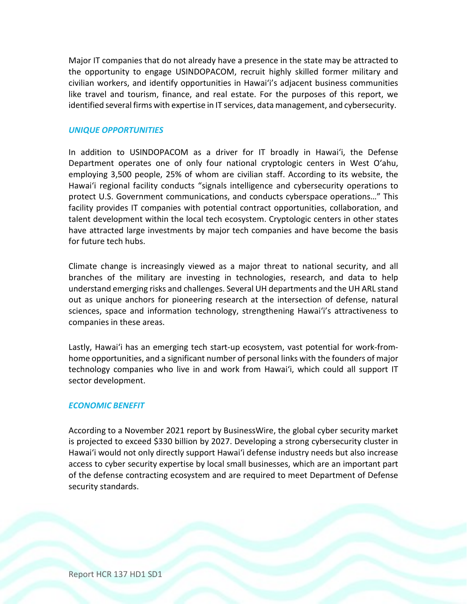Major IT companies that do not already have a presence in the state may be attracted to the opportunity to engage USINDOPACOM, recruit highly skilled former military and civilian workers, and identify opportunities in Hawaiʻi's adjacent business communities like travel and tourism, finance, and real estate. For the purposes of this report, we identified several firms with expertise in IT services, data management, and cybersecurity.

#### *UNIQUE OPPORTUNITIES*

In addition to USINDOPACOM as a driver for IT broadly in Hawaiʻi, the Defense Department operates one of only four national cryptologic centers in West Oʻahu, employing 3,500 people, 25% of whom are civilian staff. According to its website, the Hawaiʻi regional facility conducts "signals intelligence and cybersecurity operations to protect U.S. Government communications, and conducts cyberspace operations…" This facility provides IT companies with potential contract opportunities, collaboration, and talent development within the local tech ecosystem. Cryptologic centers in other states have attracted large investments by major tech companies and have become the basis for future tech hubs.

Climate change is increasingly viewed as a major threat to national security, and all branches of the military are investing in technologies, research, and data to help understand emerging risks and challenges. Several UH departments and the UH ARL stand out as unique anchors for pioneering research at the intersection of defense, natural sciences, space and information technology, strengthening Hawaiʻi's attractiveness to companies in these areas.

Lastly, Hawaiʻi has an emerging tech start-up ecosystem, vast potential for work-fromhome opportunities, and a significant number of personal links with the founders of major technology companies who live in and work from Hawaiʻi, which could all support IT sector development.

#### *ECONOMIC BENEFIT*

According to a November 2021 report by BusinessWire, the global cyber security market is projected to exceed \$330 billion by 2027. Developing a strong cybersecurity cluster in Hawaiʻi would not only directly support Hawaiʻi defense industry needs but also increase access to cyber security expertise by local small businesses, which are an important part of the defense contracting ecosystem and are required to meet Department of Defense security standards.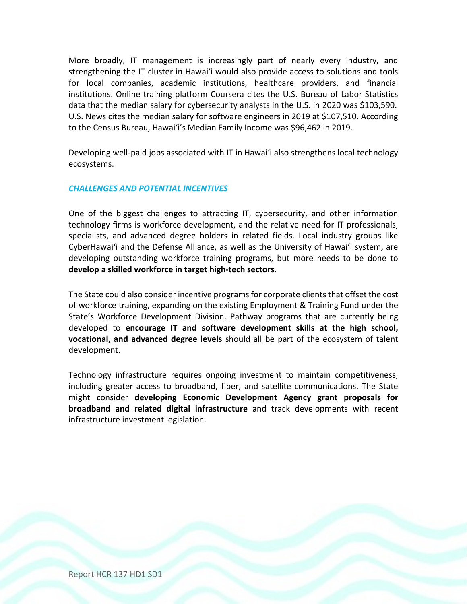More broadly, IT management is increasingly part of nearly every industry, and strengthening the IT cluster in Hawaiʻi would also provide access to solutions and tools for local companies, academic institutions, healthcare providers, and financial institutions. Online training platform Coursera cites the U.S. Bureau of Labor Statistics data that the median salary for cybersecurity analysts in the U.S. in 2020 was \$103,590. U.S. News cites the median salary for software engineers in 2019 at \$107,510. According to the Census Bureau, Hawaiʻi's Median Family Income was \$96,462 in 2019.

Developing well-paid jobs associated with IT in Hawaiʻi also strengthens local technology ecosystems.

#### *CHALLENGES AND POTENTIAL INCENTIVES*

One of the biggest challenges to attracting IT, cybersecurity, and other information technology firms is workforce development, and the relative need for IT professionals, specialists, and advanced degree holders in related fields. Local industry groups like CyberHawaiʻi and the Defense Alliance, as well as the University of Hawaiʻi system, are developing outstanding workforce training programs, but more needs to be done to **develop a skilled workforce in target high-tech sectors**.

The State could also consider incentive programs for corporate clients that offset the cost of workforce training, expanding on the existing Employment & Training Fund under the State's Workforce Development Division. Pathway programs that are currently being developed to **encourage IT and software development skills at the high school, vocational, and advanced degree levels** should all be part of the ecosystem of talent development.

Technology infrastructure requires ongoing investment to maintain competitiveness, including greater access to broadband, fiber, and satellite communications. The State might consider **developing Economic Development Agency grant proposals for broadband and related digital infrastructure** and track developments with recent infrastructure investment legislation.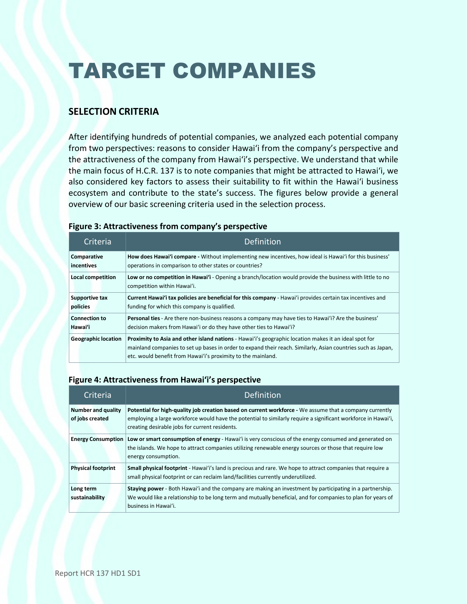# TARGET COMPANIES

# **SELECTION CRITERIA**

After identifying hundreds of potential companies, we analyzed each potential company from two perspectives: reasons to consider Hawaiʻi from the company's perspective and the attractiveness of the company from Hawaiʻi's perspective. We understand that while the main focus of H.C.R. 137 is to note companies that might be attracted to Hawaiʻi, we also considered key factors to assess their suitability to fit within the Hawaiʻi business ecosystem and contribute to the state's success. The figures below provide a general overview of our basic screening criteria used in the selection process.

### **Figure 3: Attractiveness from company's perspective**

| Criteria                   | Definition                                                                                                                                                                                                                                                                            |
|----------------------------|---------------------------------------------------------------------------------------------------------------------------------------------------------------------------------------------------------------------------------------------------------------------------------------|
| Comparative                | How does Hawai'i compare - Without implementing new incentives, how ideal is Hawai'i for this business'                                                                                                                                                                               |
| incentives                 | operations in comparison to other states or countries?                                                                                                                                                                                                                                |
| <b>Local competition</b>   | Low or no competition in Hawai'i - Opening a branch/location would provide the business with little to no<br>competition within Hawai'i.                                                                                                                                              |
| <b>Supportive tax</b>      | Current Hawai'i tax policies are beneficial for this company - Hawai'i provides certain tax incentives and                                                                                                                                                                            |
| policies                   | funding for which this company is qualified.                                                                                                                                                                                                                                          |
| <b>Connection to</b>       | Personal ties - Are there non-business reasons a company may have ties to Hawai'i? Are the business'                                                                                                                                                                                  |
| Hawai'i                    | decision makers from Hawai'i or do they have other ties to Hawai'i?                                                                                                                                                                                                                   |
| <b>Geographic location</b> | Proximity to Asia and other island nations - Hawai'i's geographic location makes it an ideal spot for<br>mainland companies to set up bases in order to expand their reach. Similarly, Asian countries such as Japan,<br>etc. would benefit from Hawai'i's proximity to the mainland. |

#### **Figure 4: Attractiveness from Hawaiʻi's perspective**

| Criteria                              | <b>Definition</b>                                                                                                                                                                                                                                                          |
|---------------------------------------|----------------------------------------------------------------------------------------------------------------------------------------------------------------------------------------------------------------------------------------------------------------------------|
| Number and quality<br>of jobs created | Potential for high-quality job creation based on current workforce - We assume that a company currently<br>employing a large workforce would have the potential to similarly require a significant workforce in Hawai'i,<br>creating desirable jobs for current residents. |
| <b>Energy Consumption</b>             | Low or smart consumption of energy - Hawai'i is very conscious of the energy consumed and generated on<br>the islands. We hope to attract companies utilizing renewable energy sources or those that require low<br>energy consumption.                                    |
| <b>Physical footprint</b>             | Small physical footprint - Hawai'i's land is precious and rare. We hope to attract companies that require a<br>small physical footprint or can reclaim land/facilities currently underutilized.                                                                            |
| Long term<br>sustainability           | Staying power - Both Hawai'i and the company are making an investment by participating in a partnership.<br>We would like a relationship to be long term and mutually beneficial, and for companies to plan for years of<br>business in Hawai'i.                           |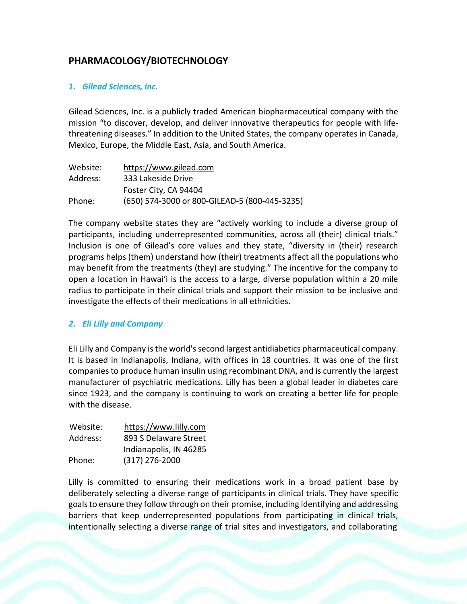# **PHARMACOLOGY/BIOTECHNOLOGY**

### *1. Gilead Sciences, Inc.*

Gilead Sciences, Inc. is a publicly traded American biopharmaceutical company with the mission "to discover, develop, and deliver innovative therapeutics for people with lifethreatening diseases." In addition to the United States, the company operates in Canada, Mexico, Europe, the Middle East, Asia, and South America.

| Website: | https://www.gilead.com                        |
|----------|-----------------------------------------------|
| Address: | 333 Lakeside Drive                            |
|          | Foster City, CA 94404                         |
| Phone:   | (650) 574-3000 or 800-GILEAD-5 (800-445-3235) |

The company website states they are "actively working to include a diverse group of participants, including underrepresented communities, across all (their) clinical trials." Inclusion is one of Gilead's core values and they state, "diversity in (their) research programs helps (them) understand how (their) treatments affect all the populations who may benefit from the treatments (they) are studying." The incentive for the company to open a location in Hawaiʻi is the access to a large, diverse population within a 20 mile radius to participate in their clinical trials and support their mission to be inclusive and investigate the effects of their medications in all ethnicities.

#### *2. Eli Lilly and Company*

Eli Lilly and Company isthe world'ssecond largest antidiabetics pharmaceutical company. It is based in Indianapolis, Indiana, with offices in 18 countries. It was one of the first companies to produce human insulin using recombinant DNA, and is currently the largest manufacturer of psychiatric medications. Lilly has been a global leader in diabetes care since 1923, and the company is continuing to work on creating a better life for people with the disease.

| Website: | https://www.lilly.com  |
|----------|------------------------|
| Address: | 893 S Delaware Street  |
|          | Indianapolis, IN 46285 |
| Phone:   | $(317)$ 276-2000       |

Lilly is committed to ensuring their medications work in a broad patient base by deliberately selecting a diverse range of participants in clinical trials. They have specific goalsto ensure they follow through on their promise, including identifying and addressing barriers that keep underrepresented populations from participating in clinical trials, intentionally selecting a diverse range of trial sites and investigators, and collaborating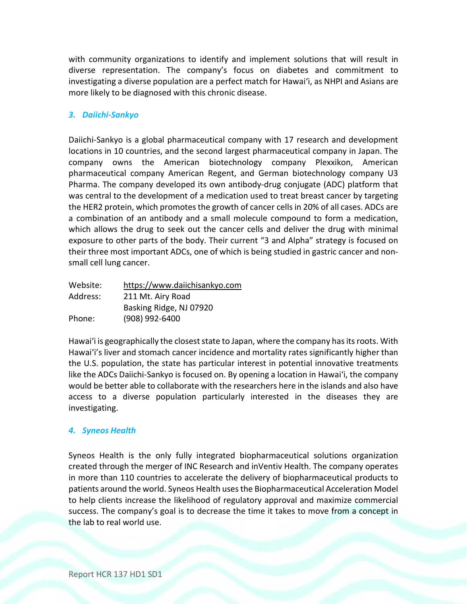with community organizations to identify and implement solutions that will result in diverse representation. The company's focus on diabetes and commitment to investigating a diverse population are a perfect match for Hawaiʻi, as NHPI and Asians are more likely to be diagnosed with this chronic disease.

## *3. Daiichi-Sankyo*

Daiichi-Sankyo is a global pharmaceutical company with 17 research and development locations in 10 countries, and the second largest pharmaceutical company in Japan. The company owns the American biotechnology company Plexxikon, American pharmaceutical company American Regent, and German biotechnology company U3 Pharma. The company developed its own antibody-drug conjugate (ADC) platform that was central to the development of a medication used to treat breast cancer by targeting the HER2 protein, which promotes the growth of cancer cells in 20% of all cases. ADCs are a combination of an antibody and a small molecule compound to form a medication, which allows the drug to seek out the cancer cells and deliver the drug with minimal exposure to other parts of the body. Their current "3 and Alpha" strategy is focused on their three most important ADCs, one of which is being studied in gastric cancer and nonsmall cell lung cancer.

| Website: | https://www.daiichisankyo.com |
|----------|-------------------------------|
| Address: | 211 Mt. Airy Road             |
|          | Basking Ridge, NJ 07920       |
| Phone:   | (908) 992-6400                |

Hawai'i is geographically the closest state to Japan, where the company has its roots. With Hawaiʻi's liver and stomach cancer incidence and mortality rates significantly higher than the U.S. population, the state has particular interest in potential innovative treatments like the ADCs Daiichi-Sankyo is focused on. By opening a location in Hawaiʻi, the company would be better able to collaborate with the researchers here in the islands and also have access to a diverse population particularly interested in the diseases they are investigating.

#### *4. Syneos Health*

Syneos Health is the only fully integrated biopharmaceutical solutions organization created through the merger of INC Research and inVentiv Health. The company operates in more than 110 countries to accelerate the delivery of biopharmaceutical products to patients around the world. Syneos Health usesthe Biopharmaceutical Acceleration Model to help clients increase the likelihood of regulatory approval and maximize commercial success. The company's goal is to decrease the time it takes to move from a concept in the lab to real world use.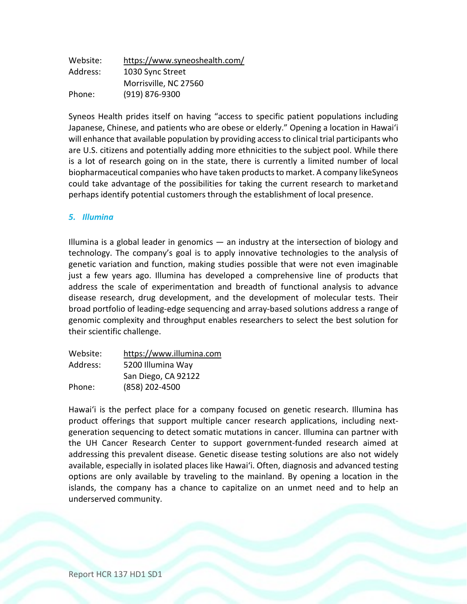| Website: | https://www.syneoshealth.com/ |
|----------|-------------------------------|
| Address: | 1030 Sync Street              |
|          | Morrisville, NC 27560         |
| Phone:   | (919) 876-9300                |

Syneos Health prides itself on having "access to specific patient populations including Japanese, Chinese, and patients who are obese or elderly." Opening a location in Hawaiʻi will enhance that available population by providing accessto clinical trial participants who are U.S. citizens and potentially adding more ethnicities to the subject pool. While there is a lot of research going on in the state, there is currently a limited number of local biopharmaceutical companies who have taken products to market. A company likeSyneos could take advantage of the possibilities for taking the current research to marketand perhaps identify potential customers through the establishment of local presence.

#### *5. Illumina*

Illumina is a global leader in genomics  $-$  an industry at the intersection of biology and technology. The company's goal is to apply innovative technologies to the analysis of genetic variation and function, making studies possible that were not even imaginable just a few years ago. Illumina has developed a comprehensive line of products that address the scale of experimentation and breadth of functional analysis to advance disease research, drug development, and the development of molecular tests. Their broad portfolio of leading-edge sequencing and array-based solutions address a range of genomic complexity and throughput enables researchers to select the best solution for their scientific challenge.

| https://www.illumina.com |
|--------------------------|
| 5200 Illumina Way        |
| San Diego, CA 92122      |
| (858) 202-4500           |
|                          |

Hawaiʻi is the perfect place for a company focused on genetic research. Illumina has product offerings that support multiple cancer research applications, including nextgeneration sequencing to detect somatic mutations in cancer. Illumina can partner with the UH Cancer Research Center to support government-funded research aimed at addressing this prevalent disease. Genetic disease testing solutions are also not widely available, especially in isolated places like Hawaiʻi. Often, diagnosis and advanced testing options are only available by traveling to the mainland. By opening a location in the islands, the company has a chance to capitalize on an unmet need and to help an underserved community.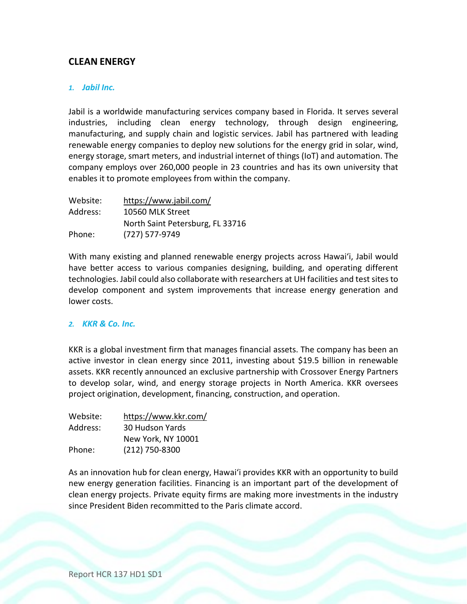# **CLEAN ENERGY**

#### *1. Jabil Inc.*

Jabil is a worldwide manufacturing services company based in Florida. It serves several industries, including clean energy technology, through design engineering, manufacturing, and supply chain and logistic services. Jabil has partnered with leading renewable energy companies to deploy new solutions for the energy grid in solar, wind, energy storage, smart meters, and industrial internet of things (IoT) and automation. The company employs over 260,000 people in 23 countries and has its own university that enables it to promote employees from within the company.

| Website: | https://www.jabil.com/           |
|----------|----------------------------------|
| Address: | 10560 MLK Street                 |
|          | North Saint Petersburg, FL 33716 |
| Phone:   | (727) 577-9749                   |

With many existing and planned renewable energy projects across Hawaiʻi, Jabil would have better access to various companies designing, building, and operating different technologies. Jabil could also collaborate with researchers at UH facilities and test sitesto develop component and system improvements that increase energy generation and lower costs.

#### *2. KKR & Co. Inc.*

KKR is a global investment firm that manages financial assets. The company has been an active investor in clean energy since 2011, investing about \$19.5 billion in renewable assets. KKR recently announced an exclusive partnership with Crossover Energy Partners to develop solar, wind, and energy storage projects in North America. KKR oversees project origination, development, financing, construction, and operation.

| Website: | https://www.kkr.com/   |
|----------|------------------------|
| Address: | <b>30 Hudson Yards</b> |
|          | New York, NY 10001     |
| Phone:   | (212) 750-8300         |

As an innovation hub for clean energy, Hawaiʻi provides KKR with an opportunity to build new energy generation facilities. Financing is an important part of the development of clean energy projects. Private equity firms are making more investments in the industry since President Biden recommitted to the Paris climate accord.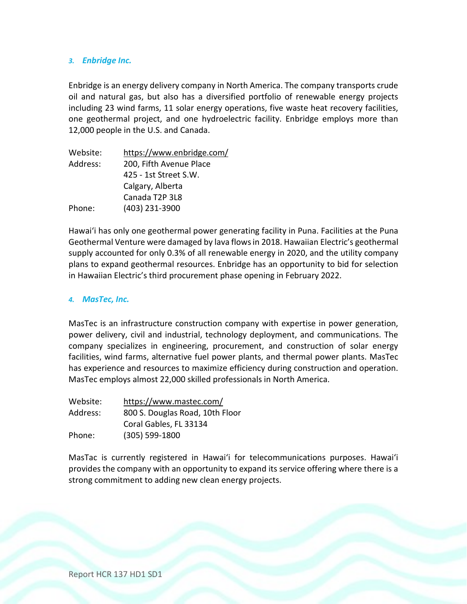#### *3. Enbridge Inc.*

Enbridge is an energy delivery company in North America. The company transports crude oil and natural gas, but also has a diversified portfolio of renewable energy projects including 23 wind farms, 11 solar energy operations, five waste heat recovery facilities, one geothermal project, and one hydroelectric facility. Enbridge employs more than 12,000 people in the U.S. and Canada.

| https://www.enbridge.com/ |
|---------------------------|
| 200, Fifth Avenue Place   |
| 425 - 1st Street S.W.     |
| Calgary, Alberta          |
| Canada T2P 3L8            |
| (403) 231-3900            |
|                           |

Hawaiʻi has only one geothermal power generating facility in Puna. Facilities at the Puna Geothermal Venture were damaged by lava flowsin 2018. Hawaiian Electric's geothermal supply accounted for only 0.3% of all renewable energy in 2020, and the utility company plans to expand geothermal resources. Enbridge has an opportunity to bid for selection in Hawaiian Electric's third procurement phase opening in February 2022.

#### *4. MasTec, Inc.*

MasTec is an infrastructure construction company with expertise in power generation, power delivery, civil and industrial, technology deployment, and communications. The company specializes in engineering, procurement, and construction of solar energy facilities, wind farms, alternative fuel power plants, and thermal power plants. MasTec has experience and resources to maximize efficiency during construction and operation. MasTec employs almost 22,000 skilled professionals in North America.

| Website: | https://www.mastec.com/         |
|----------|---------------------------------|
| Address: | 800 S. Douglas Road, 10th Floor |
|          | Coral Gables, FL 33134          |
| Phone:   | $(305) 599 - 1800$              |

MasTac is currently registered in Hawaiʻi for telecommunications purposes. Hawaiʻi provides the company with an opportunity to expand its service offering where there is a strong commitment to adding new clean energy projects.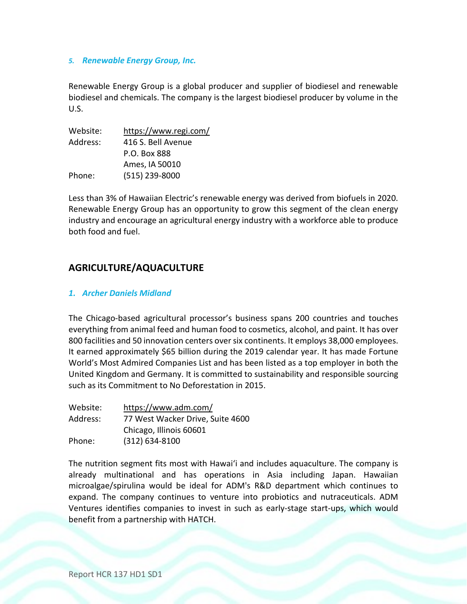#### *5. Renewable Energy Group, Inc.*

Renewable Energy Group is a global producer and supplier of biodiesel and renewable biodiesel and chemicals. The company is the largest biodiesel producer by volume in the U.S.

| Website: | https://www.regi.com/ |
|----------|-----------------------|
| Address: | 416 S. Bell Avenue    |
|          | P.O. Box 888          |
|          | Ames, IA 50010        |
| Phone:   | (515) 239-8000        |

Less than 3% of Hawaiian Electric's renewable energy was derived from biofuels in 2020. Renewable Energy Group has an opportunity to grow this segment of the clean energy industry and encourage an agricultural energy industry with a workforce able to produce both food and fuel.

## **AGRICULTURE/AQUACULTURE**

#### *1. Archer Daniels Midland*

The Chicago-based agricultural processor's business spans 200 countries and touches everything from animal feed and human food to cosmetics, alcohol, and paint. It has over 800 facilities and 50 innovation centers oversix continents. It employs 38,000 employees. It earned approximately \$65 billion during the 2019 calendar year. It has made Fortune World's Most Admired Companies List and has been listed as a top employer in both the United Kingdom and Germany. It is committed to sustainability and responsible sourcing such as its Commitment to No Deforestation in 2015.

| Website: | https://www.adm.com/             |
|----------|----------------------------------|
| Address: | 77 West Wacker Drive, Suite 4600 |
|          | Chicago, Illinois 60601          |
| Phone:   | $(312) 634 - 8100$               |

The nutrition segment fits most with Hawaiʻi and includes aquaculture. The company is already multinational and has operations in Asia including Japan. Hawaiian microalgae/spirulina would be ideal for ADM's R&D department which continues to expand. The company continues to venture into probiotics and nutraceuticals. ADM Ventures identifies companies to invest in such as early-stage start-ups, which would benefit from a partnership with HATCH.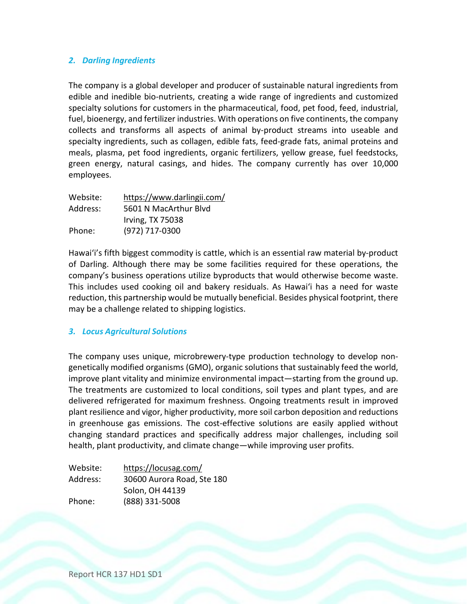### *2. Darling Ingredients*

The company is a global developer and producer of sustainable natural ingredients from edible and inedible bio-nutrients, creating a wide range of ingredients and customized specialty solutions for customers in the pharmaceutical, food, pet food, feed, industrial, fuel, bioenergy, and fertilizer industries. With operations on five continents, the company collects and transforms all aspects of animal by-product streams into useable and specialty ingredients, such as collagen, edible fats, feed-grade fats, animal proteins and meals, plasma, pet food ingredients, organic fertilizers, yellow grease, fuel feedstocks, green energy, natural casings, and hides. The company currently has over 10,000 employees.

| Website: | https://www.darlingii.com/ |
|----------|----------------------------|
| Address: | 5601 N MacArthur Blvd      |
|          | <b>Irving, TX 75038</b>    |
| Phone:   | (972) 717-0300             |

Hawaiʻi's fifth biggest commodity is cattle, which is an essential raw material by-product of Darling. Although there may be some facilities required for these operations, the company's business operations utilize byproducts that would otherwise become waste. This includes used cooking oil and bakery residuals. As Hawaiʻi has a need for waste reduction, this partnership would be mutually beneficial. Besides physical footprint, there may be a challenge related to shipping logistics.

#### *3. Locus Agricultural Solutions*

The company uses unique, microbrewery-type production technology to develop nongenetically modified organisms (GMO), organic solutions that sustainably feed the world, improve plant vitality and minimize environmental impact—starting from the ground up. The treatments are customized to local conditions, soil types and plant types, and are delivered refrigerated for maximum freshness. Ongoing treatments result in improved plant resilience and vigor, higher productivity, more soil carbon deposition and reductions in greenhouse gas emissions. The cost-effective solutions are easily applied without changing standard practices and specifically address major challenges, including soil health, plant productivity, and climate change—while improving user profits.

| Website: | https://locusag.com/       |
|----------|----------------------------|
| Address: | 30600 Aurora Road, Ste 180 |
|          | Solon, OH 44139            |
| Phone:   | (888) 331-5008             |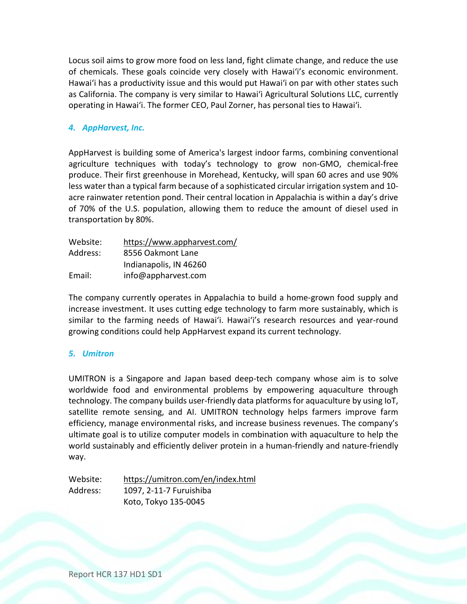Locus soil aims to grow more food on less land, fight climate change, and reduce the use of chemicals. These goals coincide very closely with Hawaiʻi's economic environment. Hawaiʻi has a productivity issue and this would put Hawaiʻi on par with other states such as California. The company is very similar to Hawaiʻi Agricultural Solutions LLC, currently operating in Hawaiʻi. The former CEO, Paul Zorner, has personal ties to Hawaiʻi.

## *4. AppHarvest, Inc.*

AppHarvest is building some of America's largest indoor farms, combining conventional agriculture techniques with today's technology to grow non-GMO, chemical-free produce. Their first greenhouse in Morehead, Kentucky, will span 60 acres and use 90% less water than a typical farm because of a sophisticated circular irrigation system and 10 acre rainwater retention pond. Their central location in Appalachia is within a day's drive of 70% of the U.S. population, allowing them to reduce the amount of diesel used in transportation by 80%.

| Website: | https://www.appharvest.com/ |
|----------|-----------------------------|
| Address: | 8556 Oakmont Lane           |
|          | Indianapolis, IN 46260      |
| Email:   | info@appharvest.com         |

The company currently operates in Appalachia to build a home-grown food supply and increase investment. It uses cutting edge technology to farm more sustainably, which is similar to the farming needs of Hawaiʻi. Hawaiʻi's research resources and year-round growing conditions could help AppHarvest expand its current technology.

#### *5. Umitron*

UMITRON is a Singapore and Japan based deep-tech company whose aim is to solve worldwide food and environmental problems by empowering aquaculture through technology. The company builds user-friendly data platformsfor aquaculture by using IoT, satellite remote sensing, and AI. UMITRON technology helps farmers improve farm efficiency, manage environmental risks, and increase business revenues. The company's ultimate goal is to utilize computer models in combination with aquaculture to help the world sustainably and efficiently deliver protein in a human-friendly and nature-friendly way.

Website: https://umitron.com/en/index.html Address: 1097, 2-11-7 Furuishiba Koto, Tokyo 135-0045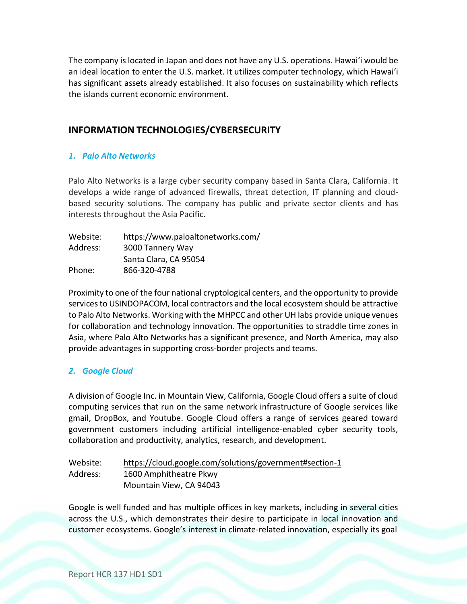The company is located in Japan and does not have any U.S. operations. Hawaiʻi would be an ideal location to enter the U.S. market. It utilizes computer technology, which Hawaiʻi has significant assets already established. It also focuses on sustainability which reflects the islands current economic environment.

# **INFORMATION TECHNOLOGIES/CYBERSECURITY**

#### *1. Palo Alto Networks*

Palo Alto Networks is a large cyber security company based in Santa Clara, California. It develops a wide range of advanced firewalls, threat detection, IT planning and cloudbased security solutions. The company has public and private sector clients and has interests throughout the Asia Pacific.

| Website: | https://www.paloaltonetworks.com/ |
|----------|-----------------------------------|
| Address: | 3000 Tannery Way                  |
|          | Santa Clara, CA 95054             |
| Phone:   | 866-320-4788                      |

Proximity to one of the four national cryptological centers, and the opportunity to provide services to USINDOPACOM, local contractors and the local ecosystem should be attractive to Palo Alto Networks. Working with the MHPCC and other UH labs provide unique venues for collaboration and technology innovation. The opportunities to straddle time zones in Asia, where Palo Alto Networks has a significant presence, and North America, may also provide advantages in supporting cross-border projects and teams.

#### *2. Google Cloud*

A division of Google Inc. in Mountain View, California, Google Cloud offers a suite of cloud computing services that run on the same network infrastructure of Google services like gmail, DropBox, and Youtube. Google Cloud offers a range of services geared toward government customers including artificial intelligence-enabled cyber security tools, collaboration and productivity, analytics, research, and development.

| Website: | https://cloud.google.com/solutions/government#section-1 |
|----------|---------------------------------------------------------|
| Address: | 1600 Amphitheatre Pkwy                                  |
|          | Mountain View, CA 94043                                 |

Google is well funded and has multiple offices in key markets, including in several cities across the U.S., which demonstrates their desire to participate in local innovation and customer ecosystems. Google's interest in climate-related innovation, especially its goal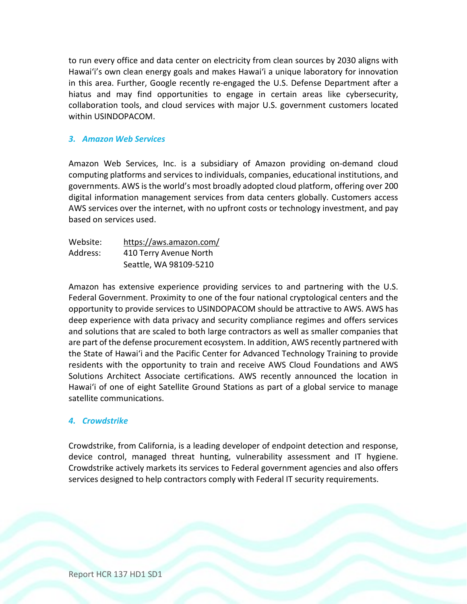to run every office and data center on electricity from clean sources by 2030 aligns with Hawaiʻi's own clean energy goals and makes Hawaiʻi a unique laboratory for innovation in this area. Further, Google recently re-engaged the U.S. Defense Department after a hiatus and may find opportunities to engage in certain areas like cybersecurity, collaboration tools, and cloud services with major U.S. government customers located within USINDOPACOM.

#### *3. Amazon Web Services*

Amazon Web Services, Inc. is a subsidiary of Amazon providing on-demand cloud computing platforms and services to individuals, companies, educational institutions, and governments. AWS isthe world's most broadly adopted cloud platform, offering over 200 digital information management services from data centers globally. Customers access AWS services over the internet, with no upfront costs or technology investment, and pay based on services used.

| Website: | https://aws.amazon.com/ |
|----------|-------------------------|
| Address: | 410 Terry Avenue North  |
|          | Seattle, WA 98109-5210  |

Amazon has extensive experience providing services to and partnering with the U.S. Federal Government. Proximity to one of the four national cryptological centers and the opportunity to provide services to USINDOPACOM should be attractive to AWS. AWS has deep experience with data privacy and security compliance regimes and offers services and solutions that are scaled to both large contractors as well as smaller companies that are part of the defense procurement ecosystem. In addition, AWS recently partnered with the State of Hawaiʻi and the Pacific Center for Advanced Technology Training to provide residents with the opportunity to train and receive AWS Cloud Foundations and AWS Solutions Architect Associate certifications. AWS recently announced the location in Hawaiʻi of one of eight Satellite Ground Stations as part of a global service to manage satellite communications.

#### *4. Crowdstrike*

Crowdstrike, from California, is a leading developer of endpoint detection and response, device control, managed threat hunting, vulnerability assessment and IT hygiene. Crowdstrike actively markets its services to Federal government agencies and also offers services designed to help contractors comply with Federal IT security requirements.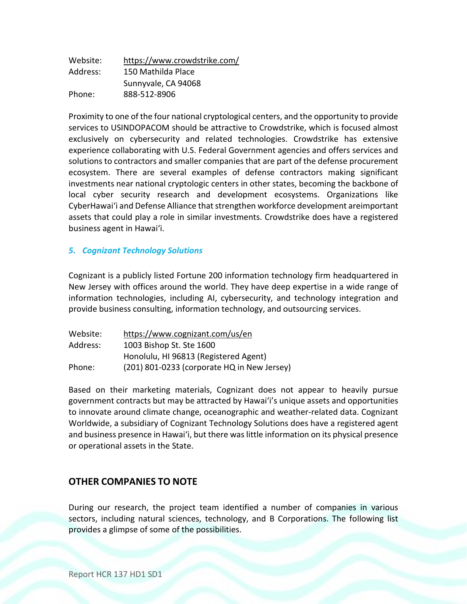| Website: | https://www.crowdstrike.com/ |
|----------|------------------------------|
| Address: | 150 Mathilda Place           |
|          | Sunnyvale, CA 94068          |
| Phone:   | 888-512-8906                 |

Proximity to one of the four national cryptological centers, and the opportunity to provide services to USINDOPACOM should be attractive to Crowdstrike, which is focused almost exclusively on cybersecurity and related technologies. Crowdstrike has extensive experience collaborating with U.S. Federal Government agencies and offers services and solutions to contractors and smaller companies that are part of the defense procurement ecosystem. There are several examples of defense contractors making significant investments near national cryptologic centers in other states, becoming the backbone of local cyber security research and development ecosystems. Organizations like CyberHawai'i and Defense Alliance that strengthen workforce development areimportant assets that could play a role in similar investments. Crowdstrike does have a registered business agent in Hawaiʻi.

### *5. Cognizant Technology Solutions*

Cognizant is a publicly listed Fortune 200 information technology firm headquartered in New Jersey with offices around the world. They have deep expertise in a wide range of information technologies, including AI, cybersecurity, and technology integration and provide business consulting, information technology, and outsourcing services.

| Website: | https://www.cognizant.com/us/en             |
|----------|---------------------------------------------|
| Address: | 1003 Bishop St. Ste 1600                    |
|          | Honolulu, HI 96813 (Registered Agent)       |
| Phone:   | (201) 801-0233 (corporate HQ in New Jersey) |

Based on their marketing materials, Cognizant does not appear to heavily pursue government contracts but may be attracted by Hawaiʻi's unique assets and opportunities to innovate around climate change, oceanographic and weather-related data. Cognizant Worldwide, a subsidiary of Cognizant Technology Solutions does have a registered agent and business presence in Hawai'i, but there was little information on its physical presence or operational assets in the State.

# **OTHER COMPANIES TO NOTE**

During our research, the project team identified a number of companies in various sectors, including natural sciences, technology, and B Corporations. The following list provides a glimpse of some of the possibilities.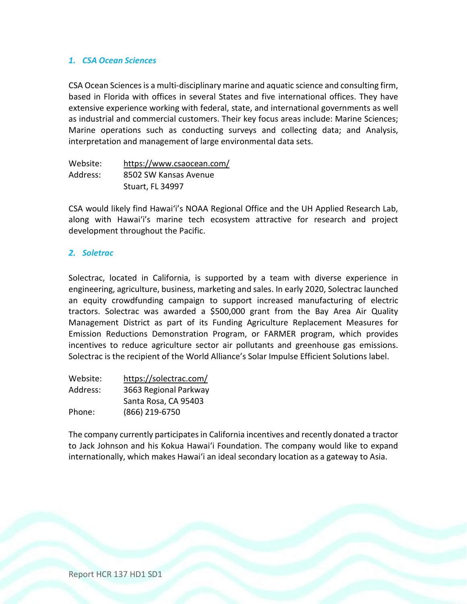#### *1. CSA Ocean Sciences*

CSA Ocean Sciencesis a multi-disciplinary marine and aquatic science and consulting firm, based in Florida with offices in several States and five international offices. They have extensive experience working with federal, state, and international governments as well as industrial and commercial customers. Their key focus areas include: Marine Sciences; Marine operations such as conducting surveys and collecting data; and Analysis, interpretation and management of large environmental data sets.

| Website: | https://www.csaocean.com/ |
|----------|---------------------------|
| Address: | 8502 SW Kansas Avenue     |
|          | <b>Stuart, FL 34997</b>   |

CSA would likely find Hawaiʻi's NOAA Regional Office and the UH Applied Research Lab, along with Hawaiʻi's marine tech ecosystem attractive for research and project development throughout the Pacific.

#### *2. Soletrac*

Solectrac, located in California, is supported by a team with diverse experience in engineering, agriculture, business, marketing and sales. In early 2020, Solectrac launched an equity crowdfunding campaign to support increased manufacturing of electric tractors. Solectrac was awarded a \$500,000 grant from the Bay Area Air Quality Management District as part of its Funding Agriculture Replacement Measures for Emission Reductions Demonstration Program, or FARMER program, which provides incentives to reduce agriculture sector air pollutants and greenhouse gas emissions. Solectrac is the recipient of the World Alliance's Solar Impulse Efficient Solutions label.

| Website: | https://solectrac.com/ |
|----------|------------------------|
| Address: | 3663 Regional Parkway  |
|          | Santa Rosa, CA 95403   |
| Phone:   | (866) 219-6750         |

The company currently participates in California incentives and recently donated a tractor to Jack Johnson and his Kokua Hawaiʻi Foundation. The company would like to expand internationally, which makes Hawaiʻi an ideal secondary location as a gateway to Asia.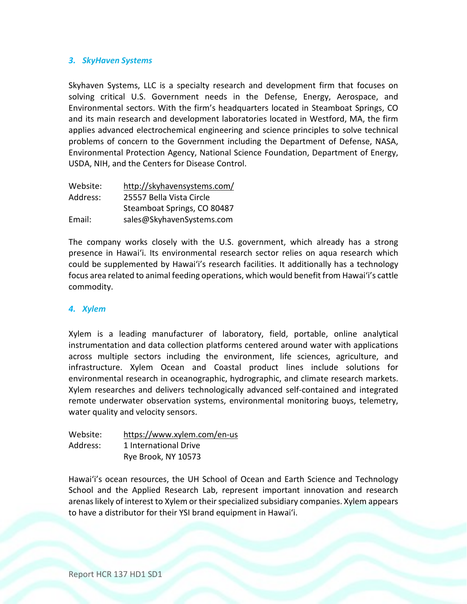### *3. SkyHaven Systems*

Skyhaven Systems, LLC is a specialty research and development firm that focuses on solving critical U.S. Government needs in the Defense, Energy, Aerospace, and Environmental sectors. With the firm's headquarters located in Steamboat Springs, CO and its main research and development laboratories located in Westford, MA, the firm applies advanced electrochemical engineering and science principles to solve technical problems of concern to the Government including the Department of Defense, NASA, Environmental Protection Agency, National Science Foundation, Department of Energy, USDA, NIH, and the Centers for Disease Control.

| Website: | http://skyhavensystems.com/ |  |
|----------|-----------------------------|--|
| Address: | 25557 Bella Vista Circle    |  |
|          | Steamboat Springs, CO 80487 |  |
| Email:   | sales@SkyhavenSystems.com   |  |

The company works closely with the U.S. government, which already has a strong presence in Hawaiʻi. Its environmental research sector relies on aqua research which could be supplemented by Hawaiʻi's research facilities. It additionally has a technology focus area related to animal feeding operations, which would benefit from Hawaiʻi's cattle commodity.

#### *4. Xylem*

Xylem is a leading manufacturer of laboratory, field, portable, online analytical instrumentation and data collection platforms centered around water with applications across multiple sectors including the environment, life sciences, agriculture, and infrastructure. Xylem Ocean and Coastal product lines include solutions for environmental research in oceanographic, hydrographic, and climate research markets. Xylem researches and delivers technologically advanced self-contained and integrated remote underwater observation systems, environmental monitoring buoys, telemetry, water quality and velocity sensors.

| Website: | https://www.xylem.com/en-us |
|----------|-----------------------------|
| Address: | 1 International Drive       |
|          | Rye Brook, NY 10573         |

Hawaiʻi's ocean resources, the UH School of Ocean and Earth Science and Technology School and the Applied Research Lab, represent important innovation and research arenas likely of interest to Xylem or their specialized subsidiary companies. Xylem appears to have a distributor for their YSI brand equipment in Hawaiʻi.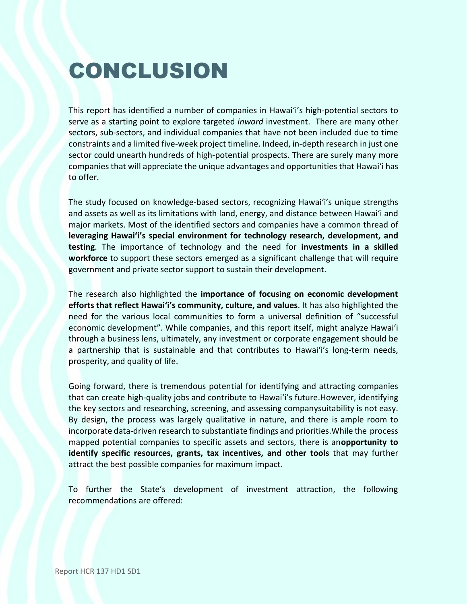# CONCLUSION

This report has identified a number of companies in Hawaiʻi's high-potential sectors to serve as a starting point to explore targeted *inward* investment. There are many other sectors, sub-sectors, and individual companies that have not been included due to time constraints and a limited five-week project timeline. Indeed, in-depth research in just one sector could unearth hundreds of high-potential prospects. There are surely many more companies that will appreciate the unique advantages and opportunities that Hawaiʻi has to offer.

The study focused on knowledge-based sectors, recognizing Hawaiʻi's unique strengths and assets as well as its limitations with land, energy, and distance between Hawaiʻi and major markets. Most of the identified sectors and companies have a common thread of **leveraging Hawaiʻi's special environment for technology research, development, and testing**. The importance of technology and the need for **investments in a skilled workforce** to support these sectors emerged as a significant challenge that will require government and private sector support to sustain their development.

The research also highlighted the **importance of focusing on economic development efforts that reflect Hawaiʻi's community, culture, and values**. It has also highlighted the need for the various local communities to form a universal definition of "successful economic development". While companies, and this report itself, might analyze Hawaiʻi through a business lens, ultimately, any investment or corporate engagement should be a partnership that is sustainable and that contributes to Hawaiʻi's long-term needs, prosperity, and quality of life.

Going forward, there is tremendous potential for identifying and attracting companies that can create high-quality jobs and contribute to Hawaiʻi's future.However, identifying the key sectors and researching, screening, and assessing companysuitability is not easy. By design, the process was largely qualitative in nature, and there is ample room to incorporate data-driven research to substantiate findings and priorities.While the process mapped potential companies to specific assets and sectors, there is an**opportunity to identify specific resources, grants, tax incentives, and other tools** that may further attract the best possible companies for maximum impact.

To further the State's development of investment attraction, the following recommendations are offered: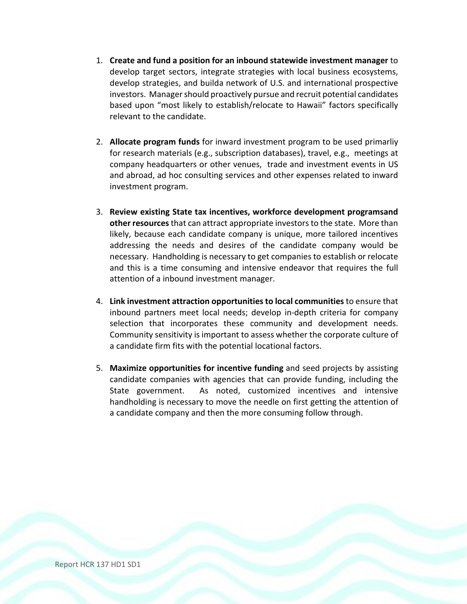- 1. **Create and fund a position for an inbound statewide investment manager** to develop target sectors, integrate strategies with local business ecosystems, develop strategies, and builda network of U.S. and international prospective investors. Manager should proactively pursue and recruit potential candidates based upon "most likely to establish/relocate to Hawaii" factors specifically relevant to the candidate.
- 2. **Allocate program funds** for inward investment program to be used primarliy for research materials (e.g., subscription databases), travel, e.g., meetings at company headquarters or other venues, trade and investment events in US and abroad, ad hoc consulting services and other expenses related to inward investment program.
- 3. **Review existing State tax incentives, workforce development programsand other resources**that can attract appropriate investorsto the state. More than likely, because each candidate company is unique, more tailored incentives addressing the needs and desires of the candidate company would be necessary. Handholding is necessary to get companies to establish or relocate and this is a time consuming and intensive endeavor that requires the full attention of a inbound investment manager.
- 4. **Link investment attraction opportunities to local communities** to ensure that inbound partners meet local needs; develop in-depth criteria for company selection that incorporates these community and development needs. Community sensitivity is important to assess whether the corporate culture of a candidate firm fits with the potential locational factors.
- 5. **Maximize opportunities for incentive funding** and seed projects by assisting candidate companies with agencies that can provide funding, including the State government. As noted, customized incentives and intensive handholding is necessary to move the needle on first getting the attention of a candidate company and then the more consuming follow through.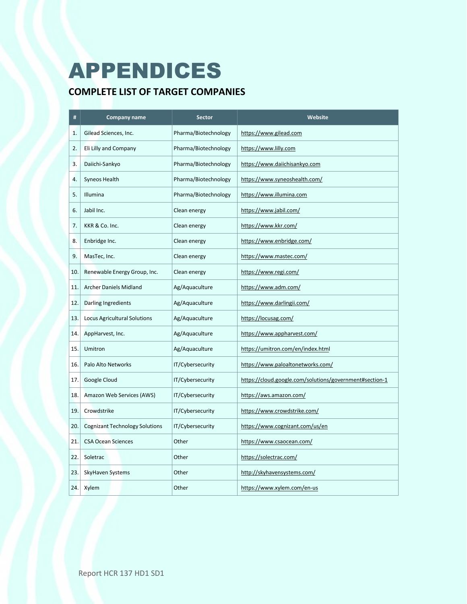# APPENDICES

# **COMPLETE LIST OF TARGET COMPANIES**

| #   | <b>Company name</b>                   | <b>Sector</b>        | Website                                                 |
|-----|---------------------------------------|----------------------|---------------------------------------------------------|
| 1.  | Gilead Sciences, Inc.                 | Pharma/Biotechnology | https://www.gilead.com                                  |
| 2.  | Eli Lilly and Company                 | Pharma/Biotechnology | https://www.lilly.com                                   |
| 3.  | Daiichi-Sankyo                        | Pharma/Biotechnology | https://www.daiichisankyo.com                           |
| 4.  | Syneos Health                         | Pharma/Biotechnology | https://www.syneoshealth.com/                           |
| 5.  | Illumina                              | Pharma/Biotechnology | https://www.illumina.com                                |
| 6.  | Jabil Inc.                            | Clean energy         | https://www.jabil.com/                                  |
| 7.  | KKR & Co. Inc.                        | Clean energy         | https://www.kkr.com/                                    |
| 8.  | Enbridge Inc.                         | Clean energy         | https://www.enbridge.com/                               |
| 9.  | MasTec, Inc.                          | Clean energy         | https://www.mastec.com/                                 |
| 10. | Renewable Energy Group, Inc.          | Clean energy         | https://www.regi.com/                                   |
| 11. | <b>Archer Daniels Midland</b>         | Ag/Aquaculture       | https://www.adm.com/                                    |
| 12. | <b>Darling Ingredients</b>            | Ag/Aquaculture       | https://www.darlingii.com/                              |
| 13. | Locus Agricultural Solutions          | Ag/Aquaculture       | https://locusag.com/                                    |
| 14. | AppHarvest, Inc.                      | Ag/Aquaculture       | https://www.appharvest.com/                             |
| 15. | Umitron                               | Ag/Aquaculture       | https://umitron.com/en/index.html                       |
| 16. | Palo Alto Networks                    | IT/Cybersecurity     | https://www.paloaltonetworks.com/                       |
| 17. | Google Cloud                          | IT/Cybersecurity     | https://cloud.google.com/solutions/government#section-1 |
| 18. | Amazon Web Services (AWS)             | IT/Cybersecurity     | https://aws.amazon.com/                                 |
| 19. | Crowdstrike                           | IT/Cybersecurity     | https://www.crowdstrike.com/                            |
| 20. | <b>Cognizant Technology Solutions</b> | IT/Cybersecurity     | https://www.cognizant.com/us/en                         |
| 21. | <b>CSA Ocean Sciences</b>             | Other                | https://www.csaocean.com/                               |
| 22. | Soletrac                              | Other                | https://solectrac.com/                                  |
| 23. | SkyHaven Systems                      | Other                | http://skyhavensystems.com/                             |
| 24. | Xylem                                 | Other                | https://www.xylem.com/en-us                             |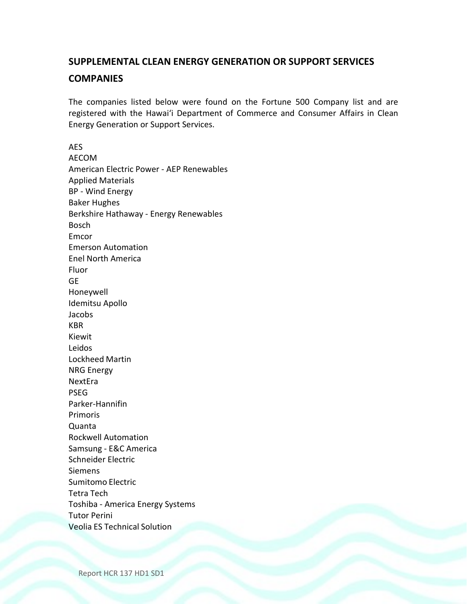# **SUPPLEMENTAL CLEAN ENERGY GENERATION OR SUPPORT SERVICES COMPANIES**

The companies listed below were found on the Fortune 500 Company list and are registered with the Hawaiʻi Department of Commerce and Consumer Affairs in Clean Energy Generation or Support Services.

AES AECOM American Electric Power - AEP Renewables Applied Materials BP - Wind Energy Baker Hughes Berkshire Hathaway - Energy Renewables Bosch Emcor Emerson Automation Enel North America Fluor GE Honeywell Idemitsu Apollo Jacobs KBR Kiewit Leidos Lockheed Martin NRG Energy NextEra PSEG Parker-Hannifin Primoris Quanta Rockwell Automation Samsung - E&C America Schneider Electric Siemens Sumitomo Electric Tetra Tech Toshiba - America Energy Systems Tutor Perini Veolia ES Technical Solution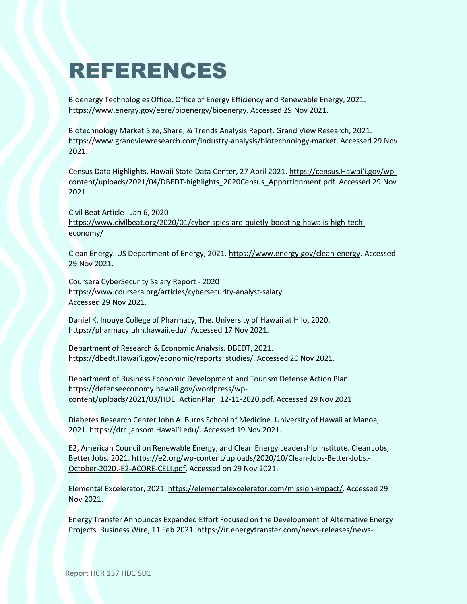# REFERENCES

Bioenergy Technologies Office. Office of Energy Efficiency and Renewable Energy, 2021. https:[//www.energy.gov/eere/bioenergy/bioenergy.](http://www.energy.gov/eere/bioenergy/bioenergy) Accessed 29 Nov 2021.

Biotechnology Market Size, Share, & Trends Analysis Report. Grand View Research, 2021. https:[//www.grandviewresearch.com/industry-analysis/biotechnology-market. A](http://www.grandviewresearch.com/industry-analysis/biotechnology-market)ccessed 29 Nov 2021.

Census Data Highlights. Hawaii State Data Center, 27 April 2021. https://census.Hawai'i.gov/wpcontent/uploads/2021/04/DBEDT-highlights\_2020Census\_Apportionment.pdf. Accessed 29 Nov 2021.

Civil Beat Article - Jan 6, 2020 https:[//www.civilbeat.org/2020/01/cyber-spies-are-quietly-boosting-hawaiis-high-tech](http://www.civilbeat.org/2020/01/cyber-spies-are-quietly-boosting-hawaiis-high-tech-)economy/

Clean Energy. US Department of Energy, 2021. https:/[/www.energy.gov/clean-energy. A](http://www.energy.gov/clean-energy)ccessed 29 Nov 2021.

Coursera CyberSecurity Salary Report - 2020 https:[//www.coursera.org/articles/cybersecurity-analyst-salary](http://www.coursera.org/articles/cybersecurity-analyst-salary) Accessed 29 Nov 2021.

Daniel K. Inouye College of Pharmacy, The. University of Hawaii at Hilo, 2020. https://pharmacy.uhh.hawaii.edu/. Accessed 17 Nov 2021.

Department of Research & Economic Analysis. DBEDT, 2021. https://dbedt.Hawaiʻi.gov/economic/reports\_studies/. Accessed 20 Nov 2021.

Department of Business Economic Development and Tourism Defense Action Plan https://defenseeconomy.hawaii.gov/wordpress/wpcontent/uploads/2021/03/HDE\_ActionPlan\_12-11-2020.pdf. Accessed 29 Nov 2021.

Diabetes Research Center John A. Burns School of Medicine. University of Hawaii at Manoa, 2021. https://drc.jabsom.Hawaiʻi.edu/. Accessed 19 Nov 2021.

E2, American Council on Renewable Energy, and Clean Energy Leadership Institute. Clean Jobs, Better Jobs. 2021. https://e2.org/wp-content/uploads/2020/10/Clean-Jobs-Better-Jobs.- October-2020.-E2-ACORE-CELI.pdf. Accessed on 29 Nov 2021.

Elemental Excelerator, 2021. https://elementalexcelerator.com/mission-impact/. Accessed 29 Nov 2021.

Energy Transfer Announces Expanded Effort Focused on the Development of Alternative Energy Projects. Business Wire, 11 Feb 2021. https://ir.energytransfer.com/news-releases/news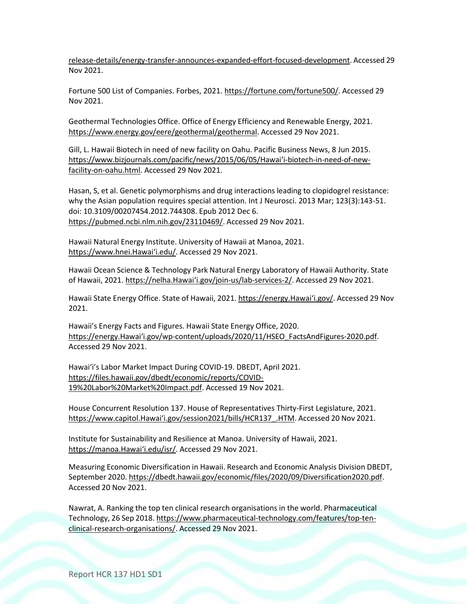release-details/energy-transfer-announces-expanded-effort-focused-development. Accessed 29 Nov 2021.

Fortune 500 List of Companies. Forbes, 2021. https://fortune.com/fortune500/. Accessed 29 Nov 2021.

Geothermal Technologies Office. Office of Energy Efficiency and Renewable Energy, 2021. https:[//www.energy.gov/eere/geothermal/geothermal.](http://www.energy.gov/eere/geothermal/geothermal) Accessed 29 Nov 2021.

Gill, L. Hawaii Biotech in need of new facility on Oahu. Pacific Business News, 8 Jun 2015. https:[//www.bizjournals.co](http://www.bizjournals.com/pacific/news/2015/06/05/Hawai%CA%BBi-biotech-in-need-of-new-)[m/pacific/news/2015/06/05/Hawaiʻi](http://www.bizjournals.com/pacific/news/2015/06/05/Hawai%CA%BBi-biotech-in-need-of-new-)-biotech-in-need-of-newfacility-on-oahu.html. Accessed 29 Nov 2021.

Hasan, S, et al. Genetic polymorphisms and drug interactions leading to clopidogrel resistance: why the Asian population requires special attention. Int J Neurosci. 2013 Mar; 123(3):143-51. doi: 10.3109/00207454.2012.744308. Epub 2012 Dec 6. https://pubmed.ncbi.nlm.nih.gov/23110469/. Accessed 29 Nov 2021.

Hawaii Natural Energy Institute. University of Hawaii at Manoa, 2021. https:/[/www.hnei.Hawaiʻi.edu/](http://www.hnei.hawai%CA%BBi.edu/). Accessed 29 Nov 2021.

Hawaii Ocean Science & Technology Park Natural Energy Laboratory of Hawaii Authority. State of Hawaii, 2021. https://nelha.Hawai'i.gov/join-us/lab-services-2/. Accessed 29 Nov 2021.

Hawaii State Energy Office. State of Hawaii, 2021. https://energy.Hawai'i.gov/. Accessed 29 Nov 2021.

Hawaii's Energy Facts and Figures. Hawaii State Energy Office, 2020. https://energy.Hawaiʻi.gov/wp-content/uploads/2020/11/HSEO\_FactsAndFigures-2020.pdf. Accessed 29 Nov 2021.

Hawaiʻi's Labor Market Impact During COVID-19. DBEDT, April 2021. https://files.hawaii.gov/dbedt/economic/reports/COVID-19%20Labor%20Market%20Impact.pdf. Accessed 19 Nov 2021.

House Concurrent Resolution 137. House of Representatives Thirty-First Legislature, 2021. https:[//www.capitol.Hawai](http://www.capitol.hawai%CA%BBi.gov/session2021/bills/HCR137_.HTM)'i.gov/session2021/bills/HCR137 .HTM. Accessed 20 Nov 2021.

Institute for Sustainability and Resilience at Manoa. University of Hawaii, 2021. https://manoa.Hawaiʻi.edu/isr/. Accessed 29 Nov 2021.

Measuring Economic Diversification in Hawaii. Research and Economic Analysis Division DBEDT, September 2020. https://dbedt.hawaii.gov/economic/files/2020/09/Diversification2020.pdf. Accessed 20 Nov 2021.

Nawrat, A. Ranking the top ten clinical research organisations in the world. Pharmaceutical Technology, 26 Sep 2018. https:[//www.pharmaceutical-technology.com/features/top-ten](http://www.pharmaceutical-technology.com/features/top-ten-)clinical-research-organisations/. Accessed 29 Nov 2021.